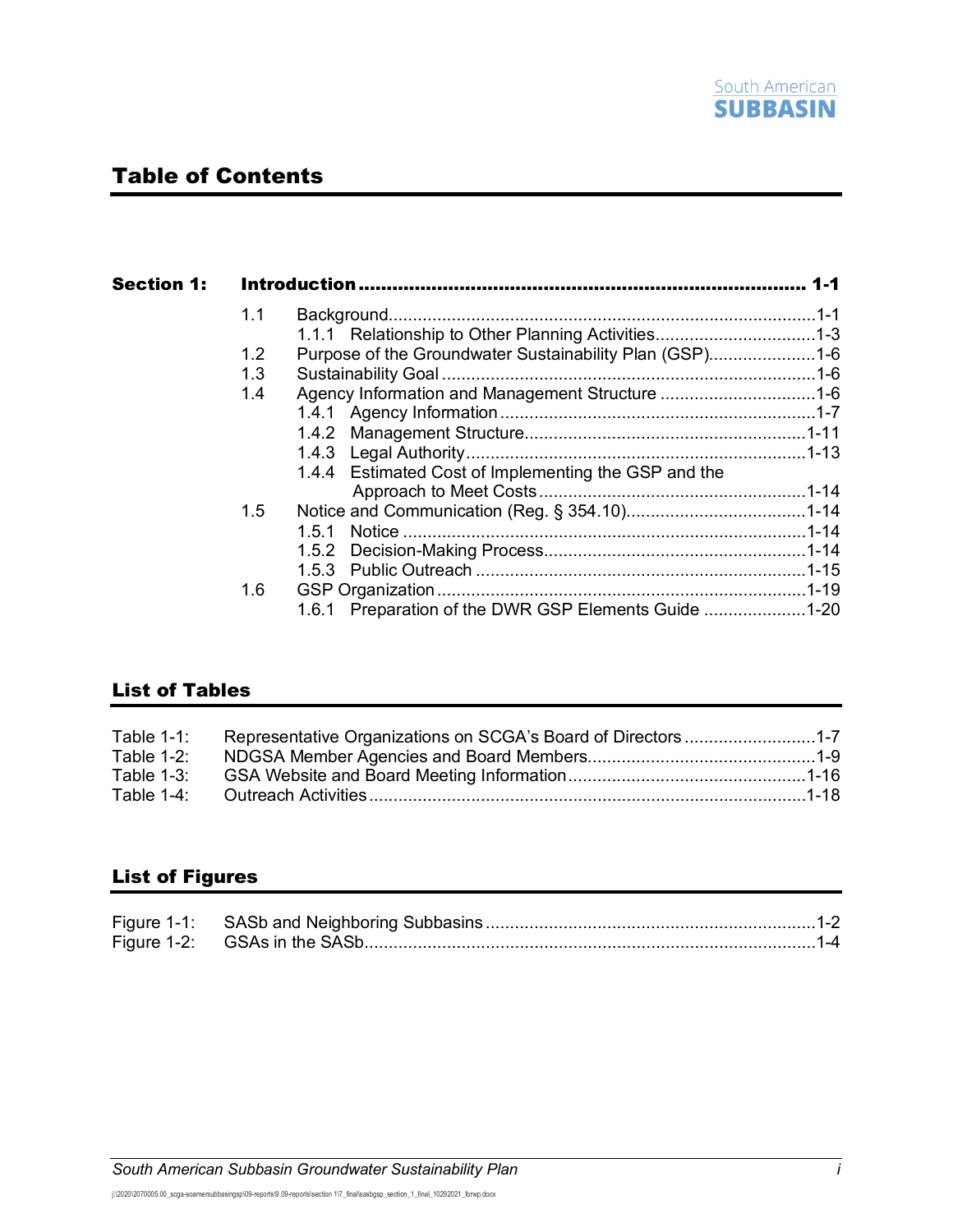

# Table of Contents

|  | 1.1           |                                                         |  |
|--|---------------|---------------------------------------------------------|--|
|  |               | 1.1.1 Relationship to Other Planning Activities1-3      |  |
|  | $1.2^{\circ}$ | Purpose of the Groundwater Sustainability Plan (GSP)1-6 |  |
|  | 1.3           |                                                         |  |
|  | 1.4           | Agency Information and Management Structure 1-6         |  |
|  |               |                                                         |  |
|  |               |                                                         |  |
|  |               |                                                         |  |
|  |               | 1.4.4 Estimated Cost of Implementing the GSP and the    |  |
|  |               |                                                         |  |
|  | $1.5^{\circ}$ |                                                         |  |
|  |               | 1.5.1                                                   |  |
|  |               |                                                         |  |
|  |               |                                                         |  |
|  | 1.6           |                                                         |  |
|  |               | 1.6.1 Preparation of the DWR GSP Elements Guide 1-20    |  |

## List of Tables

| Table $1-1$ : | Representative Organizations on SCGA's Board of Directors 1-7 |  |
|---------------|---------------------------------------------------------------|--|
| Table $1-2$ : |                                                               |  |
| Table $1-3$ : |                                                               |  |
| Table $1-4$ : |                                                               |  |

## List of Figures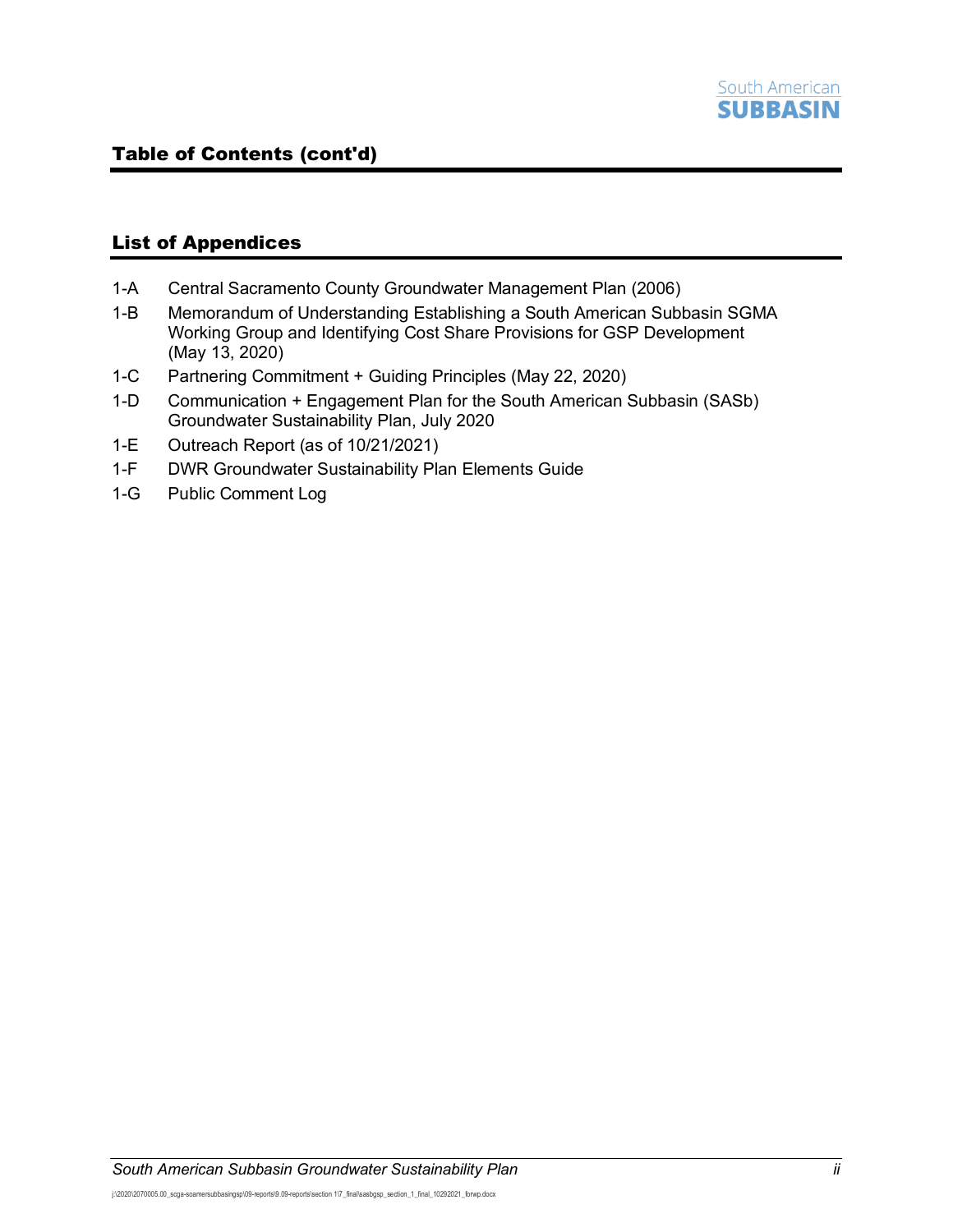### List of Appendices

- 1-A Central Sacramento County Groundwater Management Plan (2006)
- 1-B Memorandum of Understanding Establishing a South American Subbasin SGMA Working Group and Identifying Cost Share Provisions for GSP Development (May 13, 2020)
- 1-C Partnering Commitment + Guiding Principles (May 22, 2020)
- 1-D Communication + Engagement Plan for the South American Subbasin (SASb) Groundwater Sustainability Plan, July 2020
- 1-E Outreach Report (as of 10/21/2021)
- 1-F DWR Groundwater Sustainability Plan Elements Guide
- 1-G Public Comment Log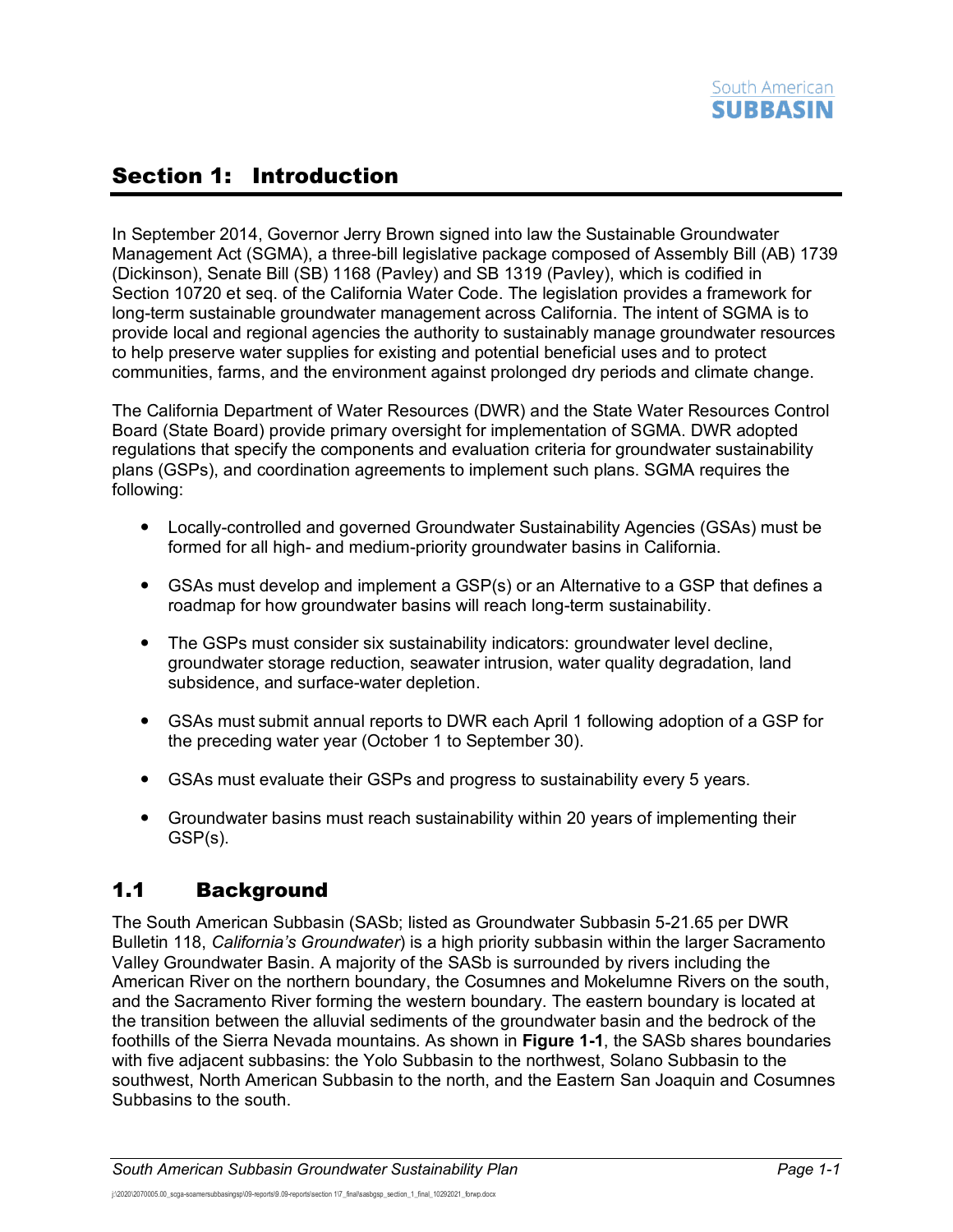# <span id="page-2-0"></span>Section 1: Introduction

In September 2014, Governor Jerry Brown signed into law the Sustainable Groundwater Management Act (SGMA), a three-bill legislative package composed of Assembly Bill (AB) 1739 (Dickinson), Senate Bill (SB) 1168 (Pavley) and SB 1319 (Pavley), which is codified in Section 10720 et seq. of the California Water Code. The legislation provides a framework for long-term sustainable groundwater management across California. The intent of SGMA is to provide local and regional agencies the authority to sustainably manage groundwater resources to help preserve water supplies for existing and potential beneficial uses and to protect communities, farms, and the environment against prolonged dry periods and climate change.

The California Department of Water Resources (DWR) and the State Water Resources Control Board (State Board) provide primary oversight for implementation of SGMA. DWR adopted regulations that specify the components and evaluation criteria for groundwater sustainability plans (GSPs), and coordination agreements to implement such plans. SGMA requires the following:

- Locally-controlled and governed Groundwater Sustainability Agencies (GSAs) must be formed for all high- and medium-priority groundwater basins in California.
- GSAs must develop and implement a GSP(s) or an Alternative to a GSP that defines a roadmap for how groundwater basins will reach long-term sustainability.
- The GSPs must consider six sustainability indicators: groundwater level decline, groundwater storage reduction, seawater intrusion, water quality degradation, land subsidence, and surface-water depletion.
- GSAs must submit annual reports to DWR each April 1 following adoption of a GSP for the preceding water year (October 1 to September 30).
- GSAs must evaluate their GSPs and progress to sustainability every 5 years.
- Groundwater basins must reach sustainability within 20 years of implementing their GSP(s).

## <span id="page-2-1"></span>1.1 Background

The South American Subbasin (SASb; listed as Groundwater Subbasin 5-21.65 per DWR Bulletin 118, *California's Groundwater*) is a high priority subbasin within the larger Sacramento Valley Groundwater Basin. A majority of the SASb is surrounded by rivers including the American River on the northern boundary, the Cosumnes and Mokelumne Rivers on the south, and the Sacramento River forming the western boundary. The eastern boundary is located at the transition between the alluvial sediments of the groundwater basin and the bedrock of the foothills of the Sierra Nevada mountains. As shown in **[Figure 1-1](#page-3-0)**, the SASb shares boundaries with five adjacent subbasins: the Yolo Subbasin to the northwest, Solano Subbasin to the southwest, North American Subbasin to the north, and the Eastern San Joaquin and Cosumnes Subbasins to the south.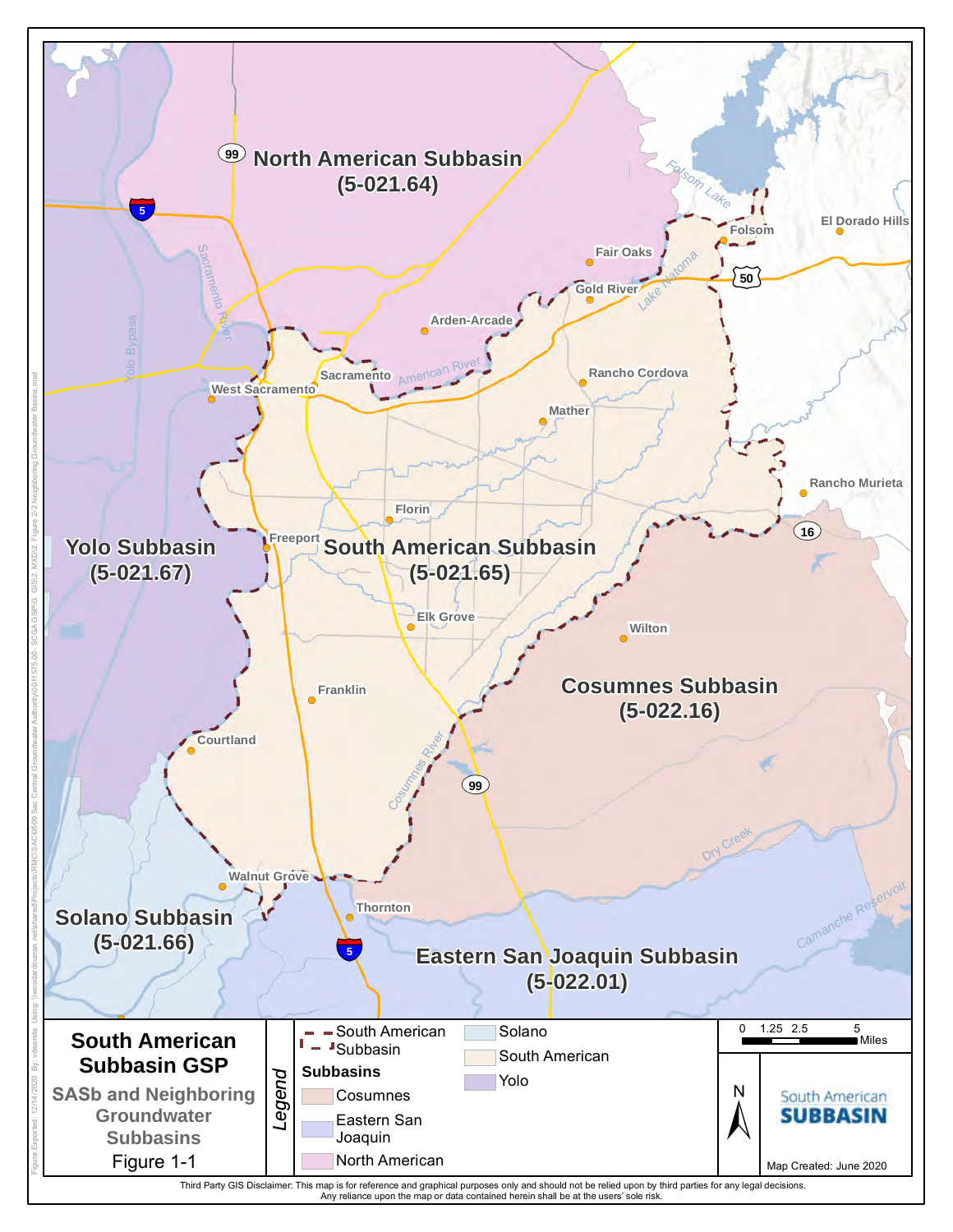<span id="page-3-0"></span>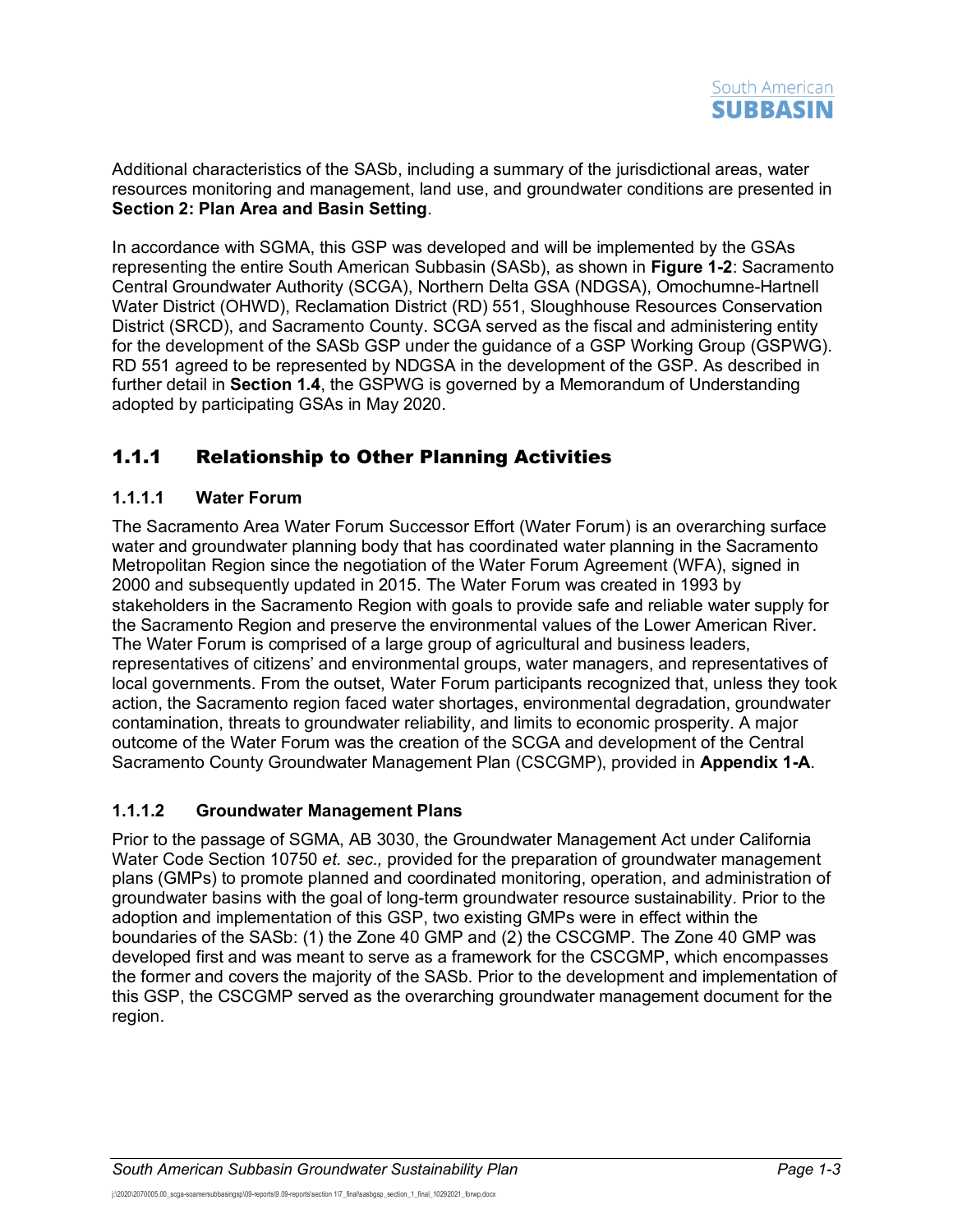Additional characteristics of the SASb, including a summary of the jurisdictional areas, water resources monitoring and management, land use, and groundwater conditions are presented in **Section 2: Plan Area and Basin Setting**.

In accordance with SGMA, this GSP was developed and will be implemented by the GSAs representing the entire South American Subbasin (SASb), as shown in **[Figure](#page--1-0) 1-2**: Sacramento Central Groundwater Authority (SCGA), Northern Delta GSA (NDGSA), Omochumne-Hartnell Water District (OHWD), Reclamation District (RD) 551, Sloughhouse Resources Conservation District (SRCD), and Sacramento County. SCGA served as the fiscal and administering entity for the development of the SASb GSP under the guidance of a GSP Working Group (GSPWG). RD 551 agreed to be represented by NDGSA in the development of the GSP. As described in further detail in **Section [1.4](#page-7-2)**, the GSPWG is governed by a Memorandum of Understanding adopted by participating GSAs in May 2020.

## <span id="page-4-0"></span>1.1.1 Relationship to Other Planning Activities

### **1.1.1.1 Water Forum**

The Sacramento Area Water Forum Successor Effort (Water Forum) is an overarching surface water and groundwater planning body that has coordinated water planning in the Sacramento Metropolitan Region since the negotiation of the Water Forum Agreement (WFA), signed in 2000 and subsequently updated in 2015. The Water Forum was created in 1993 by stakeholders in the Sacramento Region with goals to provide safe and reliable water supply for the Sacramento Region and preserve the environmental values of the Lower American River. The Water Forum is comprised of a large group of agricultural and business leaders, representatives of citizens' and environmental groups, water managers, and representatives of local governments. From the outset, Water Forum participants recognized that, unless they took action, the Sacramento region faced water shortages, environmental degradation, groundwater contamination, threats to groundwater reliability, and limits to economic prosperity. A major outcome of the Water Forum was the creation of the SCGA and development of the Central Sacramento County Groundwater Management Plan (CSCGMP), provided in **Appendix 1-A**.

### **1.1.1.2 Groundwater Management Plans**

Prior to the passage of SGMA, AB 3030, the Groundwater Management Act under California Water Code Section 10750 *et. sec.,* provided for the preparation of groundwater management plans (GMPs) to promote planned and coordinated monitoring, operation, and administration of groundwater basins with the goal of long-term groundwater resource sustainability. Prior to the adoption and implementation of this GSP, two existing GMPs were in effect within the boundaries of the SASb: (1) the Zone 40 GMP and (2) the CSCGMP. The Zone 40 GMP was developed first and was meant to serve as a framework for the CSCGMP, which encompasses the former and covers the majority of the SASb. Prior to the development and implementation of this GSP, the CSCGMP served as the overarching groundwater management document for the region.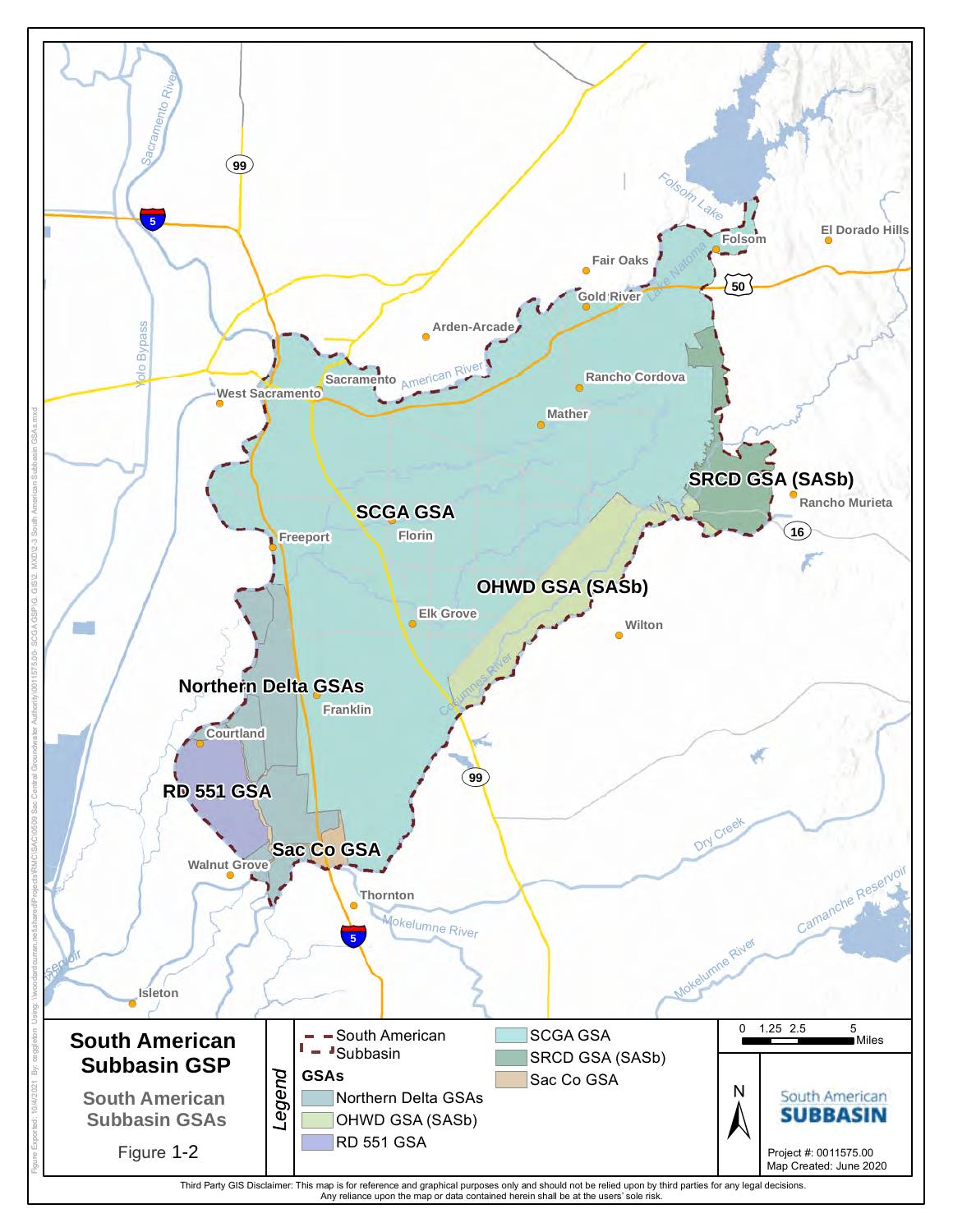<span id="page-5-0"></span>

Third Party GIS Disclaimer: This map is for reference and graphical purposes only and should not be relied upon by third parties for any legal decisions.<br>Any reliance upon the map or data contained herein shall be at the u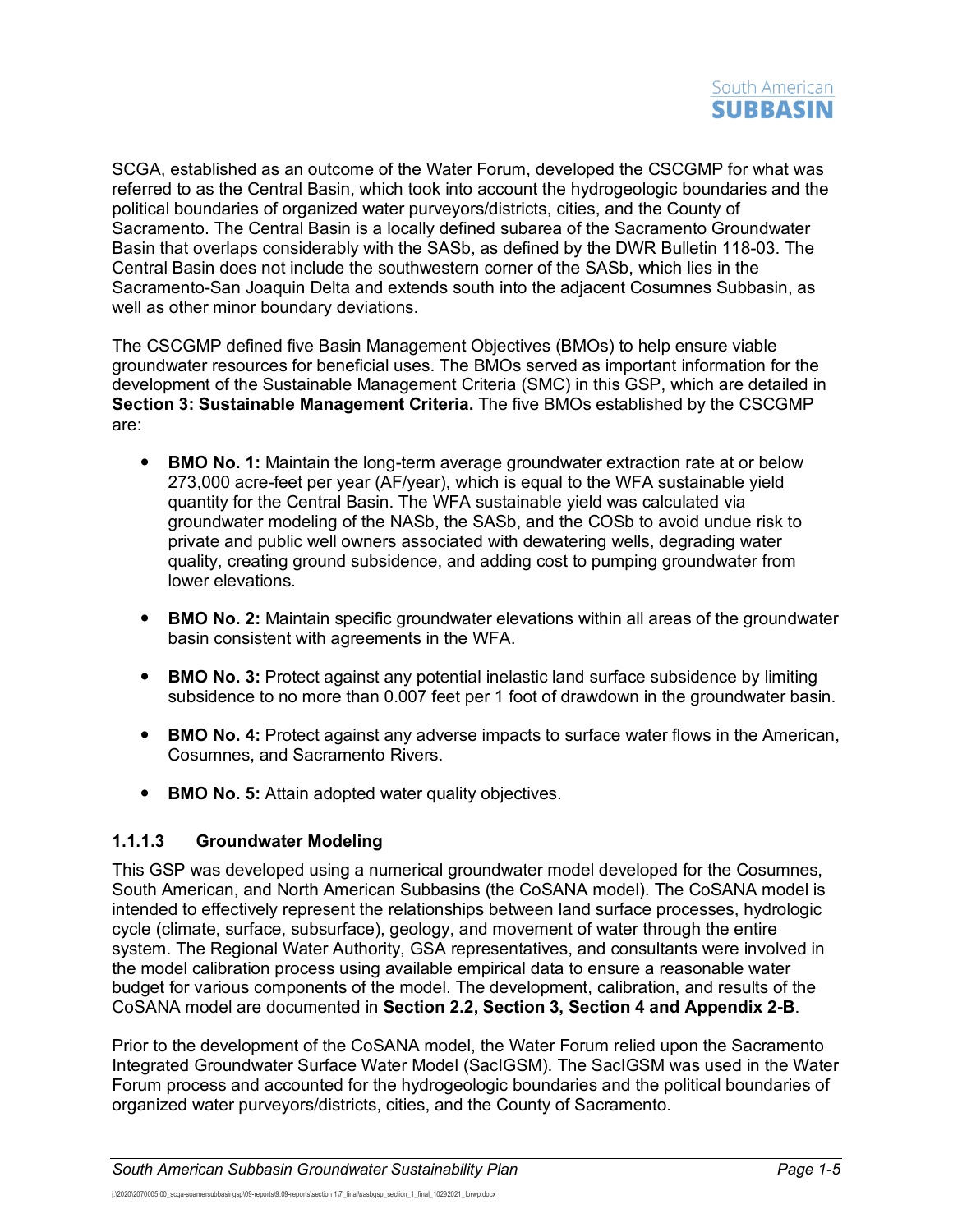

SCGA, established as an outcome of the Water Forum, developed the CSCGMP for what was referred to as the Central Basin, which took into account the hydrogeologic boundaries and the political boundaries of organized water purveyors/districts, cities, and the County of Sacramento. The Central Basin is a locally defined subarea of the Sacramento Groundwater Basin that overlaps considerably with the SASb, as defined by the DWR Bulletin 118-03. The Central Basin does not include the southwestern corner of the SASb, which lies in the Sacramento-San Joaquin Delta and extends south into the adjacent Cosumnes Subbasin, as well as other minor boundary deviations.

The CSCGMP defined five Basin Management Objectives (BMOs) to help ensure viable groundwater resources for beneficial uses. The BMOs served as important information for the development of the Sustainable Management Criteria (SMC) in this GSP, which are detailed in **Section 3: Sustainable Management Criteria.** The five BMOs established by the CSCGMP are:

- **BMO No. 1:** Maintain the long-term average groundwater extraction rate at or below 273,000 acre-feet per year (AF/year), which is equal to the WFA sustainable yield quantity for the Central Basin. The WFA sustainable yield was calculated via groundwater modeling of the NASb, the SASb, and the COSb to avoid undue risk to private and public well owners associated with dewatering wells, degrading water quality, creating ground subsidence, and adding cost to pumping groundwater from lower elevations.
- **BMO No. 2:** Maintain specific groundwater elevations within all areas of the groundwater basin consistent with agreements in the WFA.
- **BMO No. 3:** Protect against any potential inelastic land surface subsidence by limiting subsidence to no more than 0.007 feet per 1 foot of drawdown in the groundwater basin.
- **BMO No. 4:** Protect against any adverse impacts to surface water flows in the American, Cosumnes, and Sacramento Rivers.
- **BMO No. 5:** Attain adopted water quality objectives.

#### **1.1.1.3 Groundwater Modeling**

This GSP was developed using a numerical groundwater model developed for the Cosumnes, South American, and North American Subbasins (the CoSANA model). The CoSANA model is intended to effectively represent the relationships between land surface processes, hydrologic cycle (climate, surface, subsurface), geology, and movement of water through the entire system. The Regional Water Authority, GSA representatives, and consultants were involved in the model calibration process using available empirical data to ensure a reasonable water budget for various components of the model. The development, calibration, and results of the CoSANA model are documented in **Section 2.2, Section 3, Section 4 and Appendix 2-B**.

Prior to the development of the CoSANA model, the Water Forum relied upon the Sacramento Integrated Groundwater Surface Water Model (SacIGSM). The SacIGSM was used in the Water Forum process and accounted for the hydrogeologic boundaries and the political boundaries of organized water purveyors/districts, cities, and the County of Sacramento.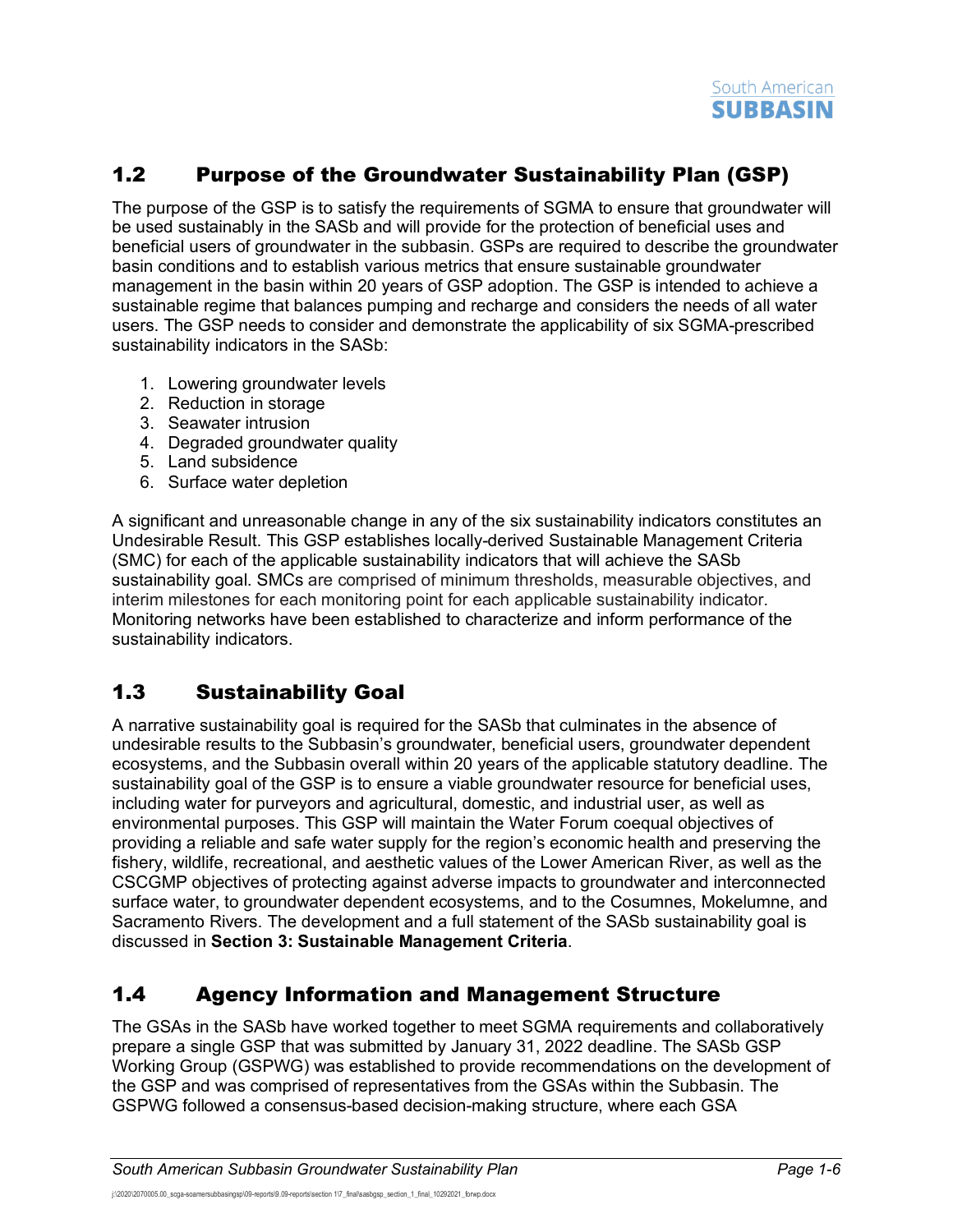# <span id="page-7-0"></span>1.2 Purpose of the Groundwater Sustainability Plan (GSP)

The purpose of the GSP is to satisfy the requirements of SGMA to ensure that groundwater will be used sustainably in the SASb and will provide for the protection of beneficial uses and beneficial users of groundwater in the subbasin. GSPs are required to describe the groundwater basin conditions and to establish various metrics that ensure sustainable groundwater management in the basin within 20 years of GSP adoption. The GSP is intended to achieve a sustainable regime that balances pumping and recharge and considers the needs of all water users. The GSP needs to consider and demonstrate the applicability of six SGMA-prescribed sustainability indicators in the SASb:

- 1. Lowering groundwater levels
- 2. Reduction in storage
- 3. Seawater intrusion
- 4. Degraded groundwater quality
- 5. Land subsidence
- 6. Surface water depletion

A significant and unreasonable change in any of the six sustainability indicators constitutes an Undesirable Result. This GSP establishes locally-derived Sustainable Management Criteria (SMC) for each of the applicable sustainability indicators that will achieve the SASb sustainability goal. SMCs are comprised of minimum thresholds, measurable objectives, and interim milestones for each monitoring point for each applicable sustainability indicator. Monitoring networks have been established to characterize and inform performance of the sustainability indicators.

# <span id="page-7-1"></span>1.3 Sustainability Goal

A narrative sustainability goal is required for the SASb that culminates in the absence of undesirable results to the Subbasin's groundwater, beneficial users, groundwater dependent ecosystems, and the Subbasin overall within 20 years of the applicable statutory deadline. The sustainability goal of the GSP is to ensure a viable groundwater resource for beneficial uses, including water for purveyors and agricultural, domestic, and industrial user, as well as environmental purposes. This GSP will maintain the Water Forum coequal objectives of providing a reliable and safe water supply for the region's economic health and preserving the fishery, wildlife, recreational, and aesthetic values of the Lower American River, as well as the CSCGMP objectives of protecting against adverse impacts to groundwater and interconnected surface water, to groundwater dependent ecosystems, and to the Cosumnes, Mokelumne, and Sacramento Rivers. The development and a full statement of the SASb sustainability goal is discussed in **Section 3: Sustainable Management Criteria**.

# <span id="page-7-2"></span>1.4 Agency Information and Management Structure

The GSAs in the SASb have worked together to meet SGMA requirements and collaboratively prepare a single GSP that was submitted by January 31, 2022 deadline. The SASb GSP Working Group (GSPWG) was established to provide recommendations on the development of the GSP and was comprised of representatives from the GSAs within the Subbasin. The GSPWG followed a consensus-based decision-making structure, where each GSA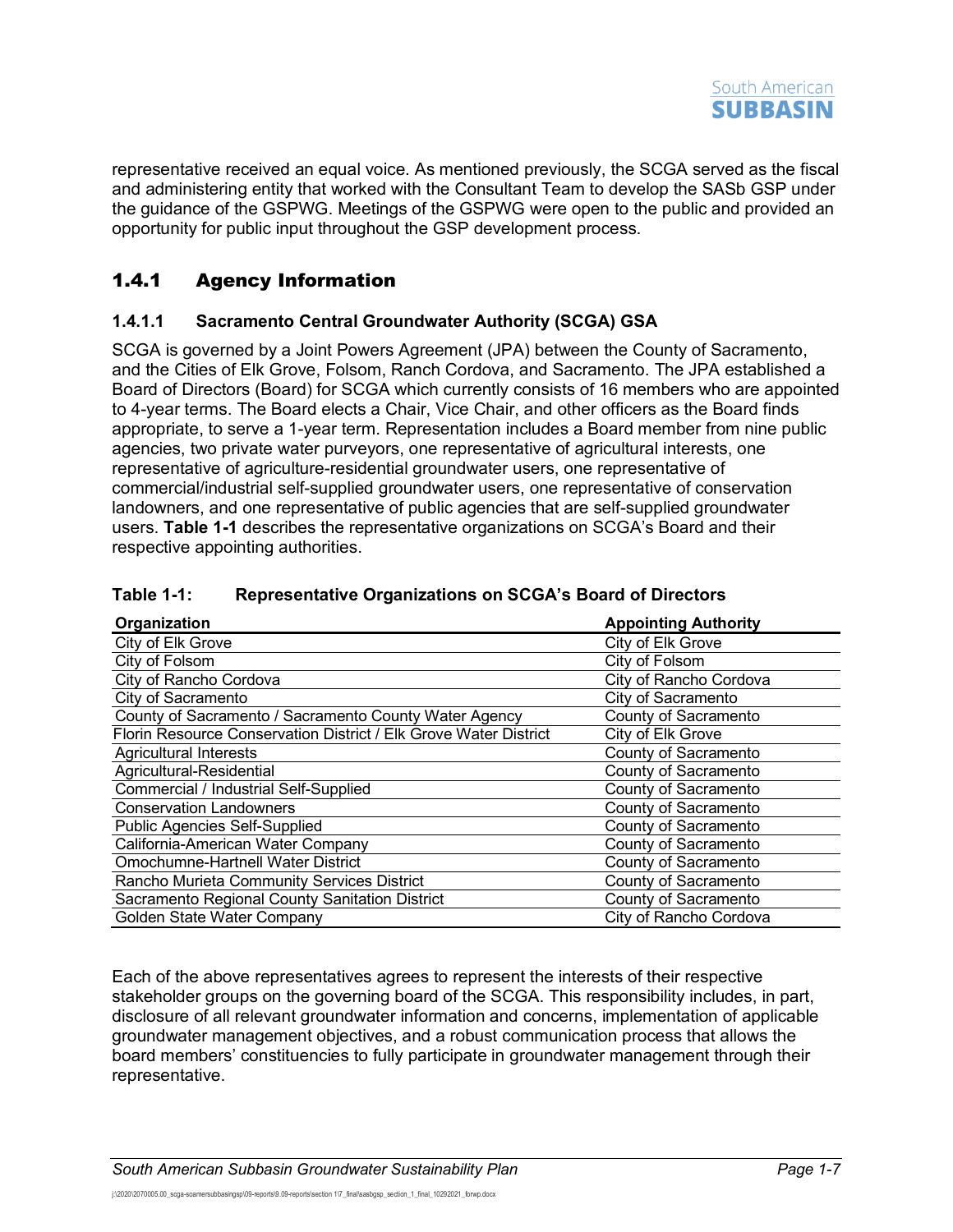

representative received an equal voice. As mentioned previously, the SCGA served as the fiscal and administering entity that worked with the Consultant Team to develop the SASb GSP under the guidance of the GSPWG. Meetings of the GSPWG were open to the public and provided an opportunity for public input throughout the GSP development process.

## <span id="page-8-0"></span>1.4.1 Agency Information

#### **1.4.1.1 Sacramento Central Groundwater Authority (SCGA) GSA**

SCGA is governed by a Joint Powers Agreement (JPA) between the County of Sacramento, and the Cities of Elk Grove, Folsom, Ranch Cordova, and Sacramento. The JPA established a Board of Directors (Board) for SCGA which currently consists of 16 members who are appointed to 4-year terms. The Board elects a Chair, Vice Chair, and other officers as the Board finds appropriate, to serve a 1-year term. Representation includes a Board member from nine public agencies, two private water purveyors, one representative of agricultural interests, one representative of agriculture-residential groundwater users, one representative of commercial/industrial self-supplied groundwater users, one representative of conservation landowners, and one representative of public agencies that are self-supplied groundwater users. **[Table](#page-8-1) 1-1** describes the representative organizations on SCGA's Board and their respective appointing authorities.

| Organization                                                     | <b>Appointing Authority</b> |
|------------------------------------------------------------------|-----------------------------|
| City of Elk Grove                                                | City of Elk Grove           |
| City of Folsom                                                   | City of Folsom              |
| City of Rancho Cordova                                           | City of Rancho Cordova      |
| City of Sacramento                                               | City of Sacramento          |
| County of Sacramento / Sacramento County Water Agency            | County of Sacramento        |
| Florin Resource Conservation District / Elk Grove Water District | City of Elk Grove           |
| <b>Agricultural Interests</b>                                    | County of Sacramento        |
| Agricultural-Residential                                         | County of Sacramento        |
| Commercial / Industrial Self-Supplied                            | County of Sacramento        |
| <b>Conservation Landowners</b>                                   | County of Sacramento        |
| <b>Public Agencies Self-Supplied</b>                             | County of Sacramento        |
| California-American Water Company                                | County of Sacramento        |
| Omochumne-Hartnell Water District                                | County of Sacramento        |
| Rancho Murieta Community Services District                       | County of Sacramento        |
| Sacramento Regional County Sanitation District                   | County of Sacramento        |
| Golden State Water Company                                       | City of Rancho Cordova      |

#### <span id="page-8-1"></span>**Table 1-1: Representative Organizations on SCGA's Board of Directors**

Each of the above representatives agrees to represent the interests of their respective stakeholder groups on the governing board of the SCGA. This responsibility includes, in part, disclosure of all relevant groundwater information and concerns, implementation of applicable groundwater management objectives, and a robust communication process that allows the board members' constituencies to fully participate in groundwater management through their representative.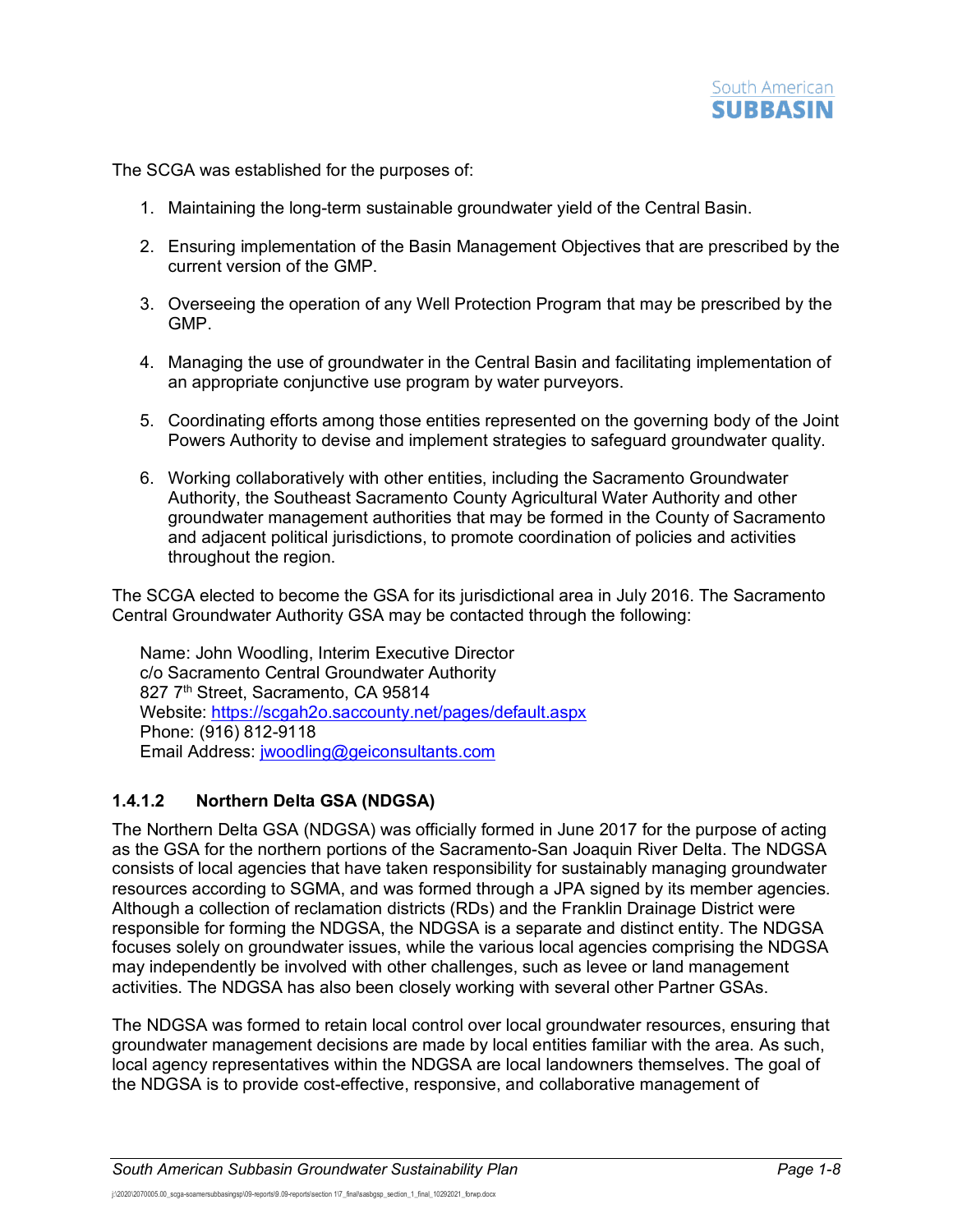

The SCGA was established for the purposes of:

- 1. Maintaining the long-term sustainable groundwater yield of the Central Basin.
- 2. Ensuring implementation of the Basin Management Objectives that are prescribed by the current version of the GMP.
- 3. Overseeing the operation of any Well Protection Program that may be prescribed by the GMP.
- 4. Managing the use of groundwater in the Central Basin and facilitating implementation of an appropriate conjunctive use program by water purveyors.
- 5. Coordinating efforts among those entities represented on the governing body of the Joint Powers Authority to devise and implement strategies to safeguard groundwater quality.
- 6. Working collaboratively with other entities, including the Sacramento Groundwater Authority, the Southeast Sacramento County Agricultural Water Authority and other groundwater management authorities that may be formed in the County of Sacramento and adjacent political jurisdictions, to promote coordination of policies and activities throughout the region.

The SCGA elected to become the GSA for its jurisdictional area in July 2016. The Sacramento Central Groundwater Authority GSA may be contacted through the following:

Name: John Woodling, Interim Executive Director c/o Sacramento Central Groundwater Authority 827 7<sup>th</sup> Street, Sacramento, CA 95814 Website:<https://scgah2o.saccounty.net/pages/default.aspx> Phone: (916) 812-9118 Email Address: [jwoodling@geiconsultants.com](mailto:jwoodling@geiconsultants.com)

#### **1.4.1.2 Northern Delta GSA (NDGSA)**

The Northern Delta GSA (NDGSA) was officially formed in June 2017 for the purpose of acting as the GSA for the northern portions of the Sacramento-San Joaquin River Delta. The NDGSA consists of local agencies that have taken responsibility for sustainably managing groundwater resources according to SGMA, and was formed through a JPA signed by its member agencies. Although a collection of reclamation districts (RDs) and the Franklin Drainage District were responsible for forming the NDGSA, the NDGSA is a separate and distinct entity. The NDGSA focuses solely on groundwater issues, while the various local agencies comprising the NDGSA may independently be involved with other challenges, such as levee or land management activities. The NDGSA has also been closely working with several other Partner GSAs.

The NDGSA was formed to retain local control over local groundwater resources, ensuring that groundwater management decisions are made by local entities familiar with the area. As such, local agency representatives within the NDGSA are local landowners themselves. The goal of the NDGSA is to provide cost-effective, responsive, and collaborative management of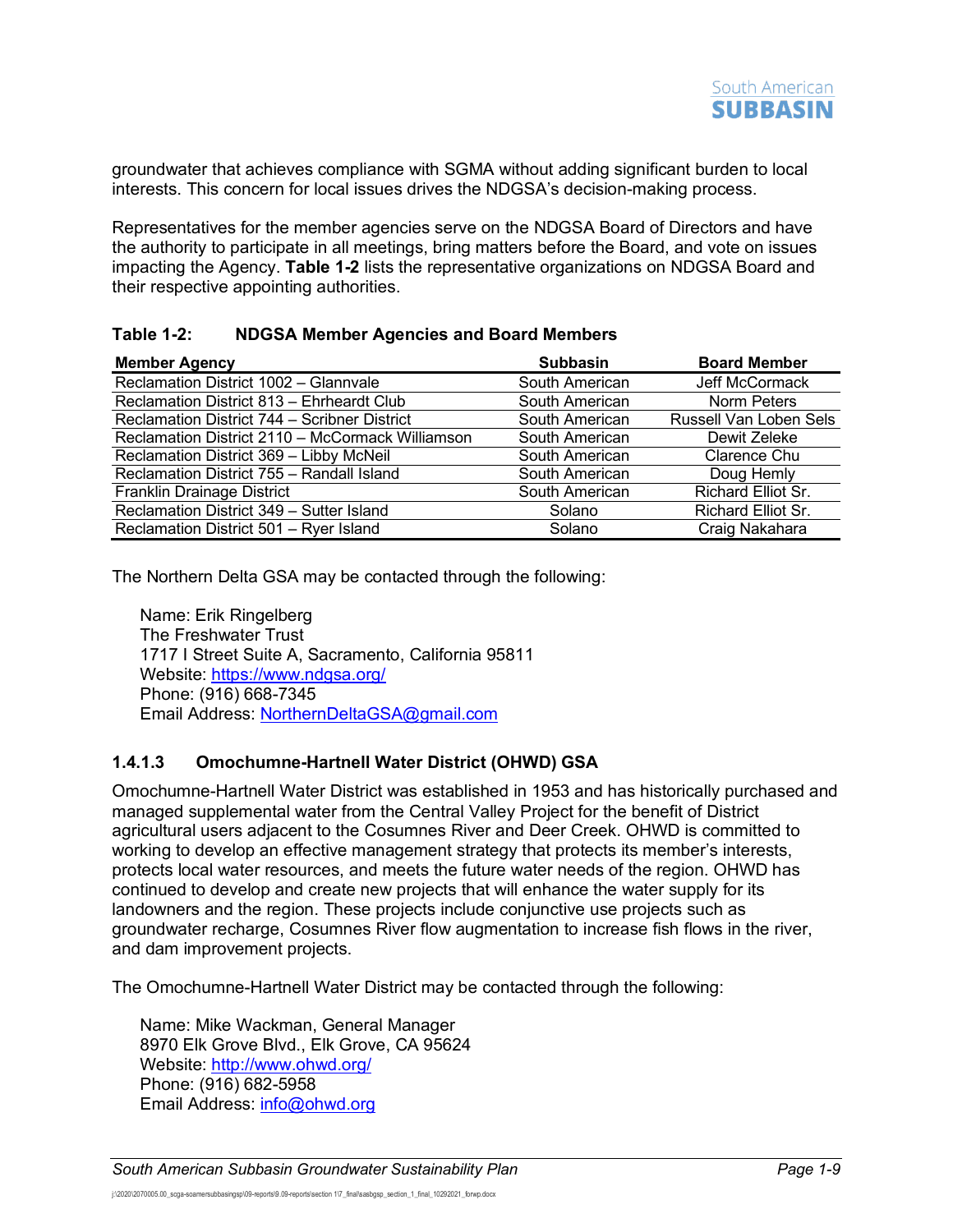groundwater that achieves compliance with SGMA without adding significant burden to local interests. This concern for local issues drives the NDGSA's decision-making process.

Representatives for the member agencies serve on the NDGSA Board of Directors and have the authority to participate in all meetings, bring matters before the Board, and vote on issues impacting the Agency. **[Table](#page-10-0) 1-2** lists the representative organizations on NDGSA Board and their respective appointing authorities.

#### <span id="page-10-0"></span>**Table 1-2: NDGSA Member Agencies and Board Members**

| <b>Member Agency</b>                             | <b>Subbasin</b> | <b>Board Member</b>       |
|--------------------------------------------------|-----------------|---------------------------|
| Reclamation District 1002 - Glannvale            | South American  | Jeff McCormack            |
| Reclamation District 813 - Ehrheardt Club        | South American  | <b>Norm Peters</b>        |
| Reclamation District 744 - Scribner District     | South American  | Russell Van Loben Sels    |
| Reclamation District 2110 - McCormack Williamson | South American  | Dewit Zeleke              |
| Reclamation District 369 - Libby McNeil          | South American  | Clarence Chu              |
| Reclamation District 755 - Randall Island        | South American  | Doug Hemly                |
| Franklin Drainage District                       | South American  | Richard Elliot Sr.        |
| Reclamation District 349 - Sutter Island         | Solano          | <b>Richard Elliot Sr.</b> |
| Reclamation District 501 - Ryer Island           | Solano          | Craig Nakahara            |

The Northern Delta GSA may be contacted through the following:

Name: Erik Ringelberg The Freshwater Trust 1717 I Street Suite A, Sacramento, California 95811 Website:<https://www.ndgsa.org/> Phone: (916) 668-7345 Email Address: [NorthernDeltaGSA@gmail.com](mailto:NorthernDeltaGSA@gmail.com)

#### **1.4.1.3 Omochumne-Hartnell Water District (OHWD) GSA**

Omochumne-Hartnell Water District was established in 1953 and has historically purchased and managed supplemental water from the Central Valley Project for the benefit of District agricultural users adjacent to the Cosumnes River and Deer Creek. OHWD is committed to working to develop an effective management strategy that protects its member's interests, protects local water resources, and meets the future water needs of the region. OHWD has continued to develop and create new projects that will enhance the water supply for its landowners and the region. These projects include conjunctive use projects such as groundwater recharge, Cosumnes River flow augmentation to increase fish flows in the river, and dam improvement projects.

The Omochumne-Hartnell Water District may be contacted through the following:

Name: Mike Wackman, General Manager 8970 Elk Grove Blvd., Elk Grove, CA 95624 Website:<http://www.ohwd.org/> Phone: (916) 682-5958 Email Address: [info@ohwd.org](mailto:info@ohwd.org)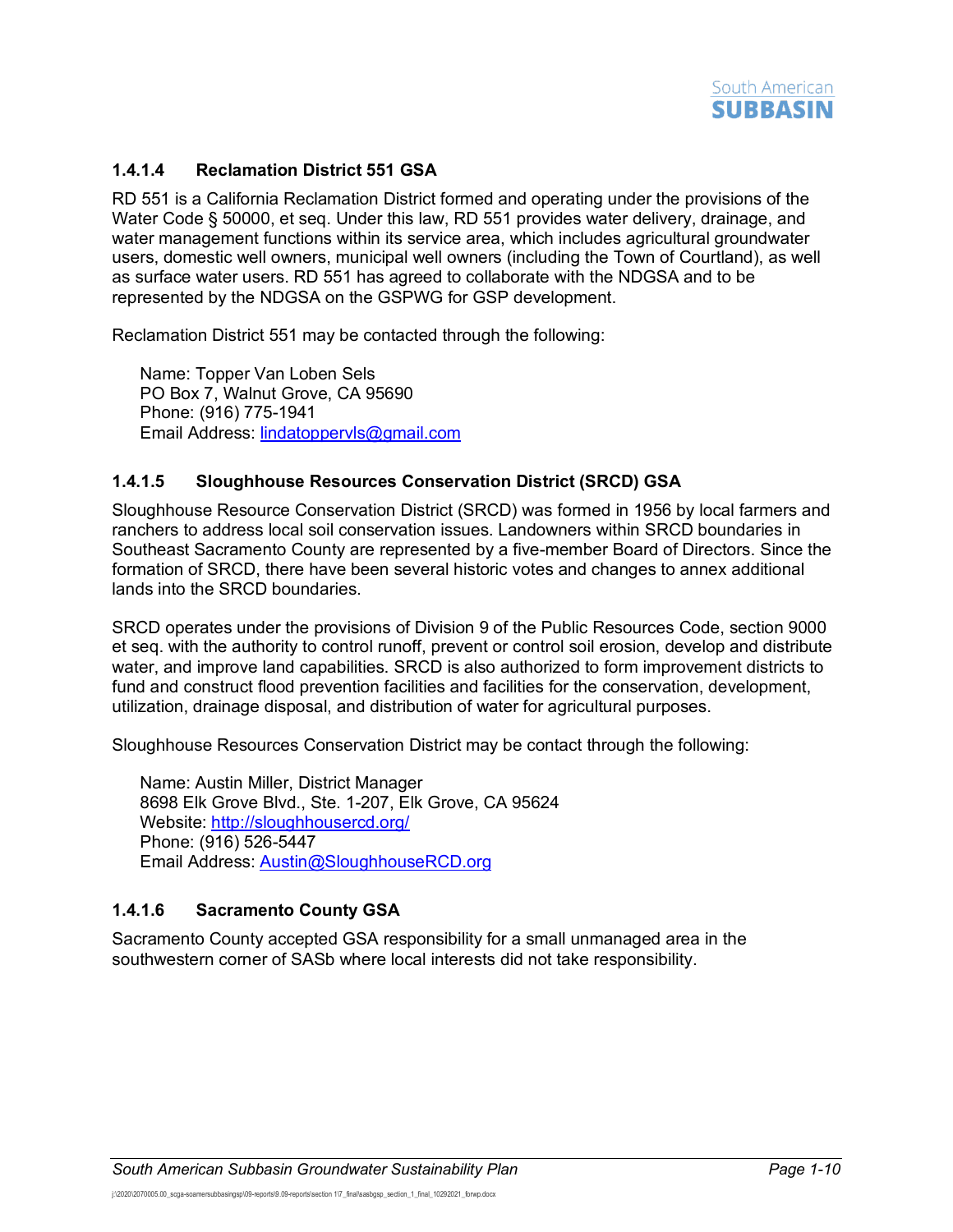

### **1.4.1.4 Reclamation District 551 GSA**

RD 551 is a California Reclamation District formed and operating under the provisions of the Water Code § 50000, et seq. Under this law, RD 551 provides water delivery, drainage, and water management functions within its service area, which includes agricultural groundwater users, domestic well owners, municipal well owners (including the Town of Courtland), as well as surface water users. RD 551 has agreed to collaborate with the NDGSA and to be represented by the NDGSA on the GSPWG for GSP development.

Reclamation District 551 may be contacted through the following:

Name: Topper Van Loben Sels PO Box 7, Walnut Grove, CA 95690 Phone: (916) 775-1941 Email Address: [lindatoppervls@gmail.com](mailto:lindatoppervls@gmail.com)

#### **1.4.1.5 Sloughhouse Resources Conservation District (SRCD) GSA**

Sloughhouse Resource Conservation District (SRCD) was formed in 1956 by local farmers and ranchers to address local soil conservation issues. Landowners within SRCD boundaries in Southeast Sacramento County are represented by a five-member Board of Directors. Since the formation of SRCD, there have been several historic votes and changes to annex additional lands into the SRCD boundaries.

SRCD operates under the provisions of Division 9 of the Public Resources Code, section 9000 et seq. with the authority to control runoff, prevent or control soil erosion, develop and distribute water, and improve land capabilities. SRCD is also authorized to form improvement districts to fund and construct flood prevention facilities and facilities for the conservation, development, utilization, drainage disposal, and distribution of water for agricultural purposes.

Sloughhouse Resources Conservation District may be contact through the following:

Name: Austin Miller, District Manager 8698 Elk Grove Blvd., Ste. 1-207, Elk Grove, CA 95624 Website:<http://sloughhousercd.org/> Phone: (916) 526-5447 Email Address: [Austin@SloughhouseRCD.org](mailto:Austin@SloughhouseRCD.org)

#### **1.4.1.6 Sacramento County GSA**

Sacramento County accepted GSA responsibility for a small unmanaged area in the southwestern corner of SASb where local interests did not take responsibility.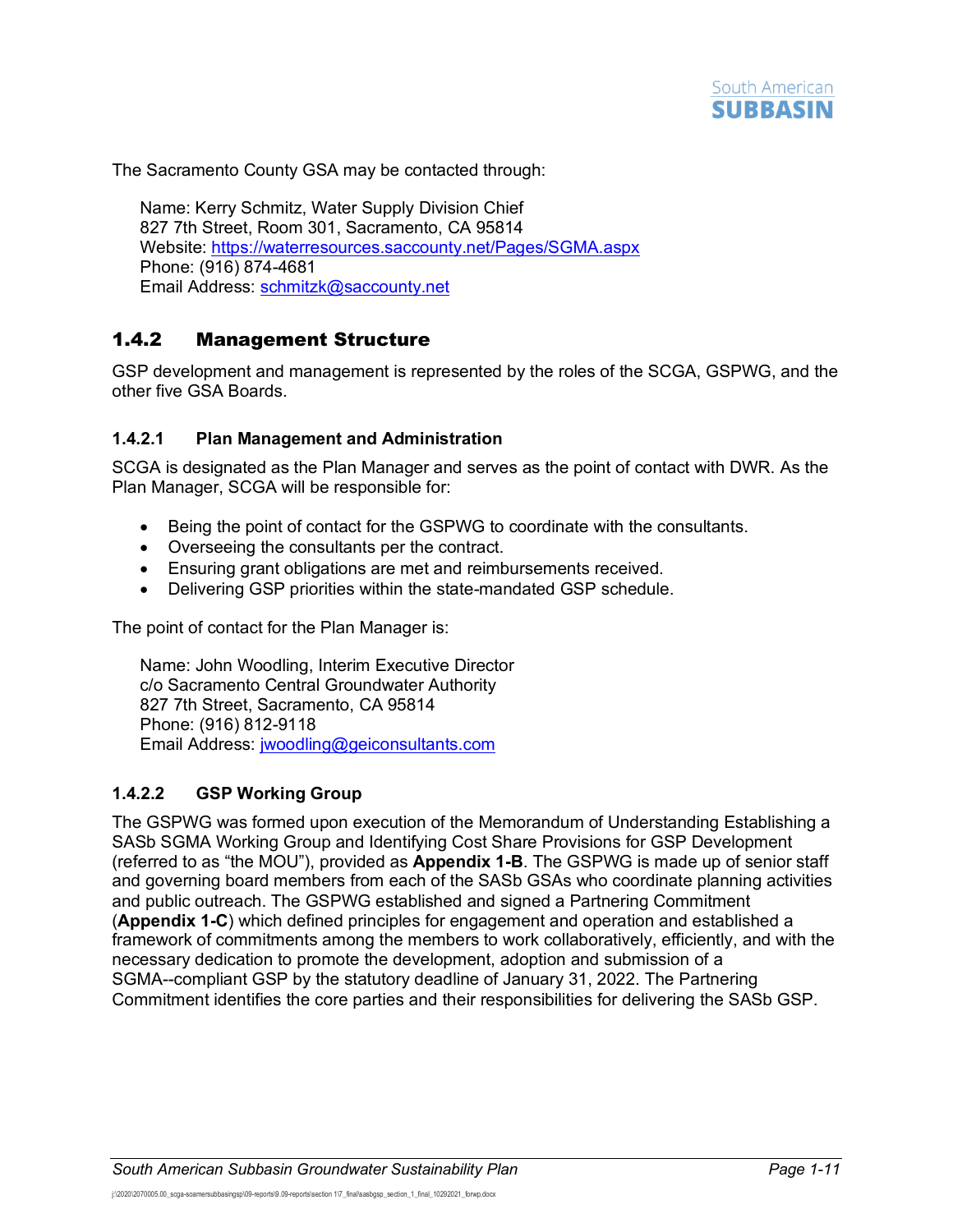

The Sacramento County GSA may be contacted through:

Name: Kerry Schmitz, Water Supply Division Chief 827 7th Street, Room 301, Sacramento, CA 95814 Website:<https://waterresources.saccounty.net/Pages/SGMA.aspx> Phone: (916) 874-4681 Email Address: [schmitzk@saccounty.net](mailto:schmitzk@saccounty.net)

### <span id="page-12-0"></span>1.4.2 Management Structure

GSP development and management is represented by the roles of the SCGA, GSPWG, and the other five GSA Boards.

#### **1.4.2.1 Plan Management and Administration**

SCGA is designated as the Plan Manager and serves as the point of contact with DWR. As the Plan Manager, SCGA will be responsible for:

- Being the point of contact for the GSPWG to coordinate with the consultants.
- Overseeing the consultants per the contract.
- Ensuring grant obligations are met and reimbursements received.
- Delivering GSP priorities within the state-mandated GSP schedule.

The point of contact for the Plan Manager is:

Name: John Woodling, Interim Executive Director c/o Sacramento Central Groundwater Authority 827 7th Street, Sacramento, CA 95814 Phone: (916) 812-9118 Email Address: [jwoodling@geiconsultants.com](mailto:jwoodling@geiconsultants.com)

#### **1.4.2.2 GSP Working Group**

The GSPWG was formed upon execution of the Memorandum of Understanding Establishing a SASb SGMA Working Group and Identifying Cost Share Provisions for GSP Development (referred to as "the MOU"), provided as **Appendix 1-B**. The GSPWG is made up of senior staff and governing board members from each of the SASb GSAs who coordinate planning activities and public outreach. The GSPWG established and signed a Partnering Commitment (**Appendix 1-C**) which defined principles for engagement and operation and established a framework of commitments among the members to work collaboratively, efficiently, and with the necessary dedication to promote the development, adoption and submission of a SGMA--compliant GSP by the statutory deadline of January 31, 2022. The Partnering Commitment identifies the core parties and their responsibilities for delivering the SASb GSP.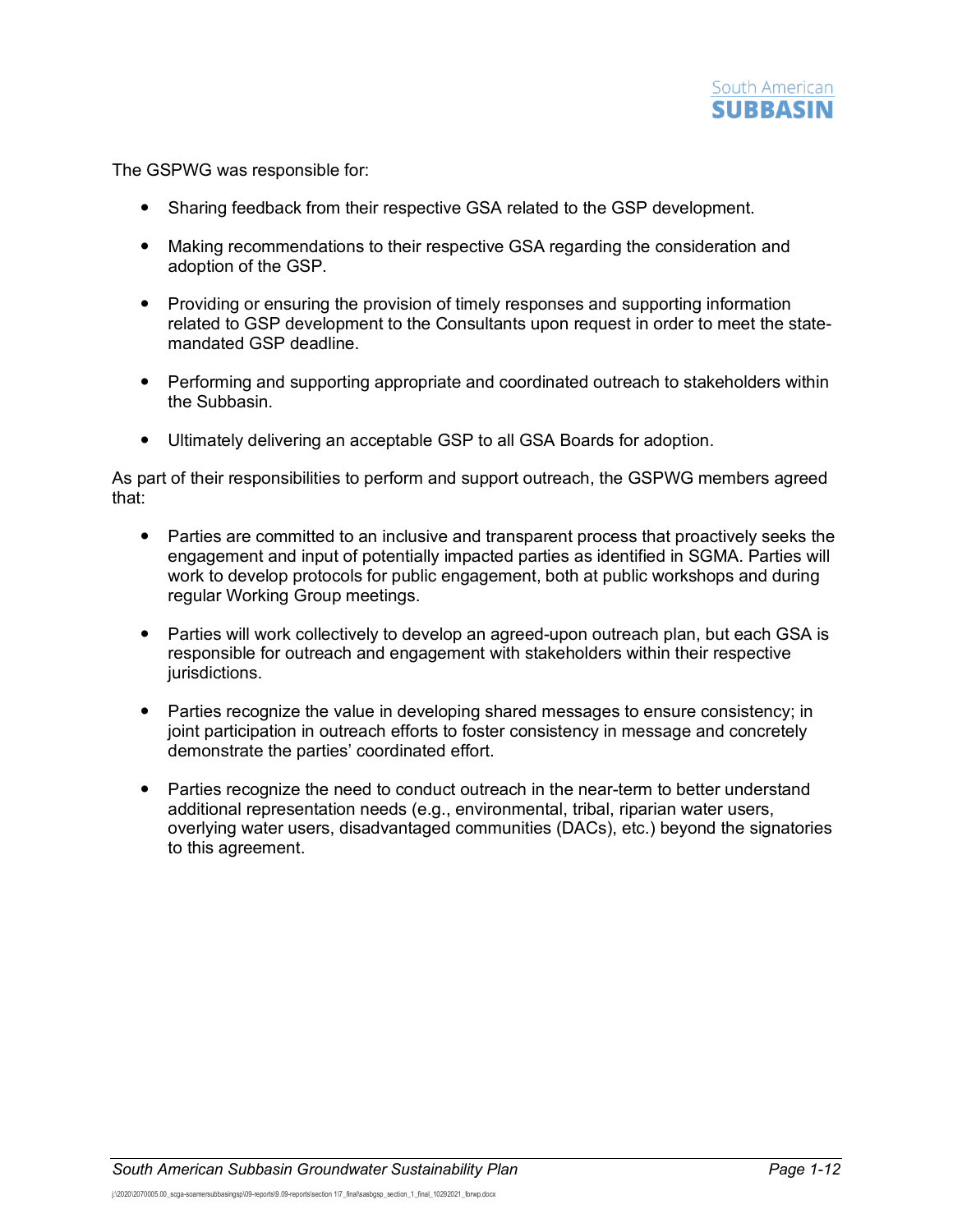

The GSPWG was responsible for:

- Sharing feedback from their respective GSA related to the GSP development.
- Making recommendations to their respective GSA regarding the consideration and adoption of the GSP.
- Providing or ensuring the provision of timely responses and supporting information related to GSP development to the Consultants upon request in order to meet the statemandated GSP deadline.
- Performing and supporting appropriate and coordinated outreach to stakeholders within the Subbasin.
- Ultimately delivering an acceptable GSP to all GSA Boards for adoption.

As part of their responsibilities to perform and support outreach, the GSPWG members agreed that:

- Parties are committed to an inclusive and transparent process that proactively seeks the engagement and input of potentially impacted parties as identified in SGMA. Parties will work to develop protocols for public engagement, both at public workshops and during regular Working Group meetings.
- Parties will work collectively to develop an agreed-upon outreach plan, but each GSA is responsible for outreach and engagement with stakeholders within their respective jurisdictions.
- Parties recognize the value in developing shared messages to ensure consistency; in joint participation in outreach efforts to foster consistency in message and concretely demonstrate the parties' coordinated effort.
- Parties recognize the need to conduct outreach in the near-term to better understand additional representation needs (e.g., environmental, tribal, riparian water users, overlying water users, disadvantaged communities (DACs), etc.) beyond the signatories to this agreement.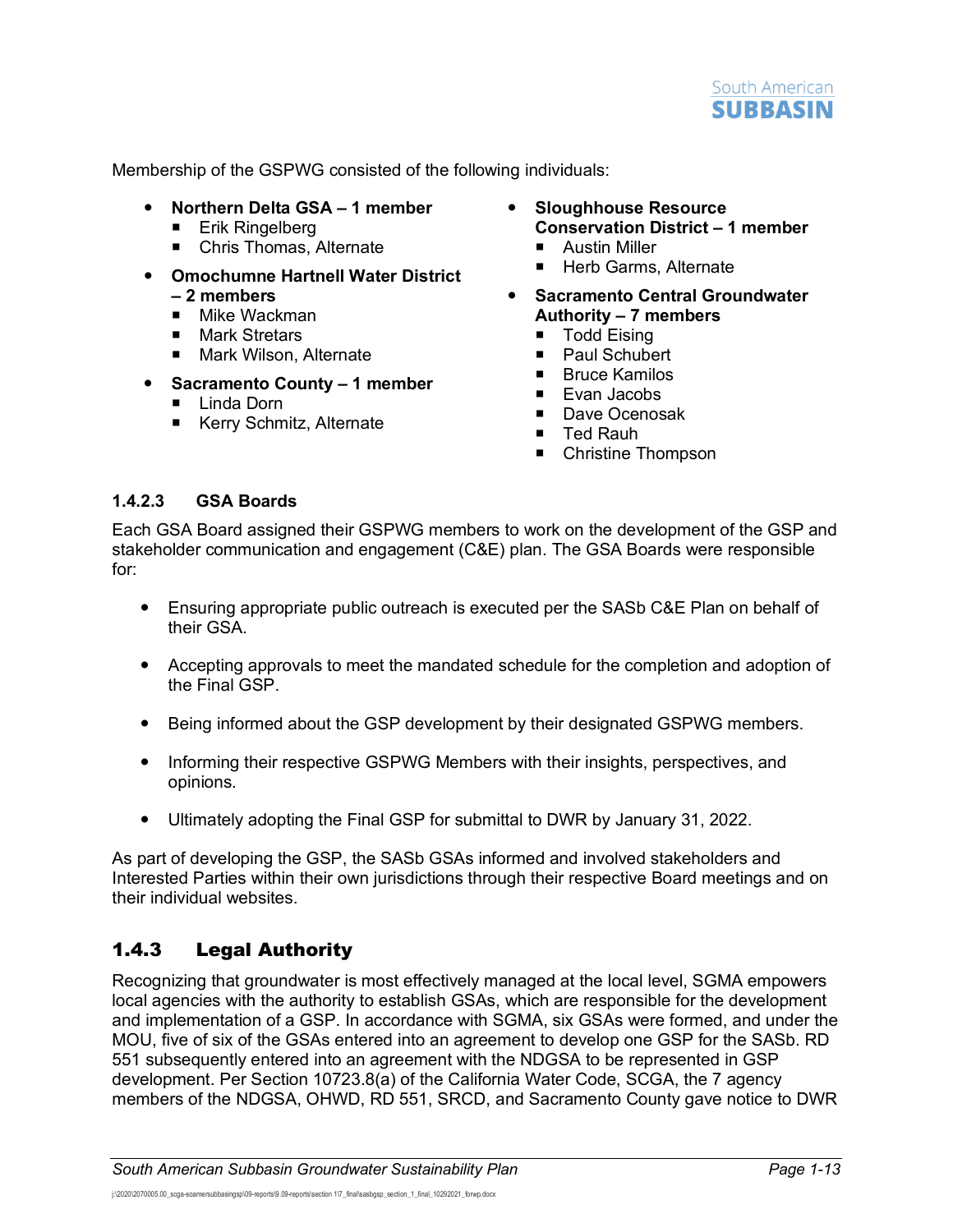

Membership of the GSPWG consisted of the following individuals:

- **Northern Delta GSA – 1 member** 
	- **Erik Ringelberg**
	- Chris Thomas, Alternate
- **Omochumne Hartnell Water District – 2 members** 
	- Mike Wackman<br>■ Mark Stretars
	- Mark Stretars
	- Mark Wilson, Alternate
- **Sacramento County – 1 member** 
	- Linda Dorn
	- Kerry Schmitz, Alternate
- **Sloughhouse Resource Conservation District – 1 member** 
	- **Austin Miller**
	- Herb Garms, Alternate
- **Sacramento Central Groundwater Authority – 7 members** 
	- Todd Eising
	- **Paul Schubert**
	- $Bruce$  Kamilos
	- **Evan Jacobs**
	- Dave Ocenosak
	- Ted Rauh
	- Christine Thompson

### **1.4.2.3 GSA Boards**

Each GSA Board assigned their GSPWG members to work on the development of the GSP and stakeholder communication and engagement (C&E) plan. The GSA Boards were responsible for:

- Ensuring appropriate public outreach is executed per the SASb C&E Plan on behalf of their GSA.
- Accepting approvals to meet the mandated schedule for the completion and adoption of the Final GSP.
- Being informed about the GSP development by their designated GSPWG members.
- Informing their respective GSPWG Members with their insights, perspectives, and opinions.
- Ultimately adopting the Final GSP for submittal to DWR by January 31, 2022.

As part of developing the GSP, the SASb GSAs informed and involved stakeholders and Interested Parties within their own jurisdictions through their respective Board meetings and on their individual websites.

## <span id="page-14-0"></span>1.4.3 Legal Authority

Recognizing that groundwater is most effectively managed at the local level, SGMA empowers local agencies with the authority to establish GSAs, which are responsible for the development and implementation of a GSP. In accordance with SGMA, six GSAs were formed, and under the MOU, five of six of the GSAs entered into an agreement to develop one GSP for the SASb. RD 551 subsequently entered into an agreement with the NDGSA to be represented in GSP development. Per Section 10723.8(a) of the California Water Code, SCGA, the 7 agency members of the NDGSA, OHWD, RD 551, SRCD, and Sacramento County gave notice to DWR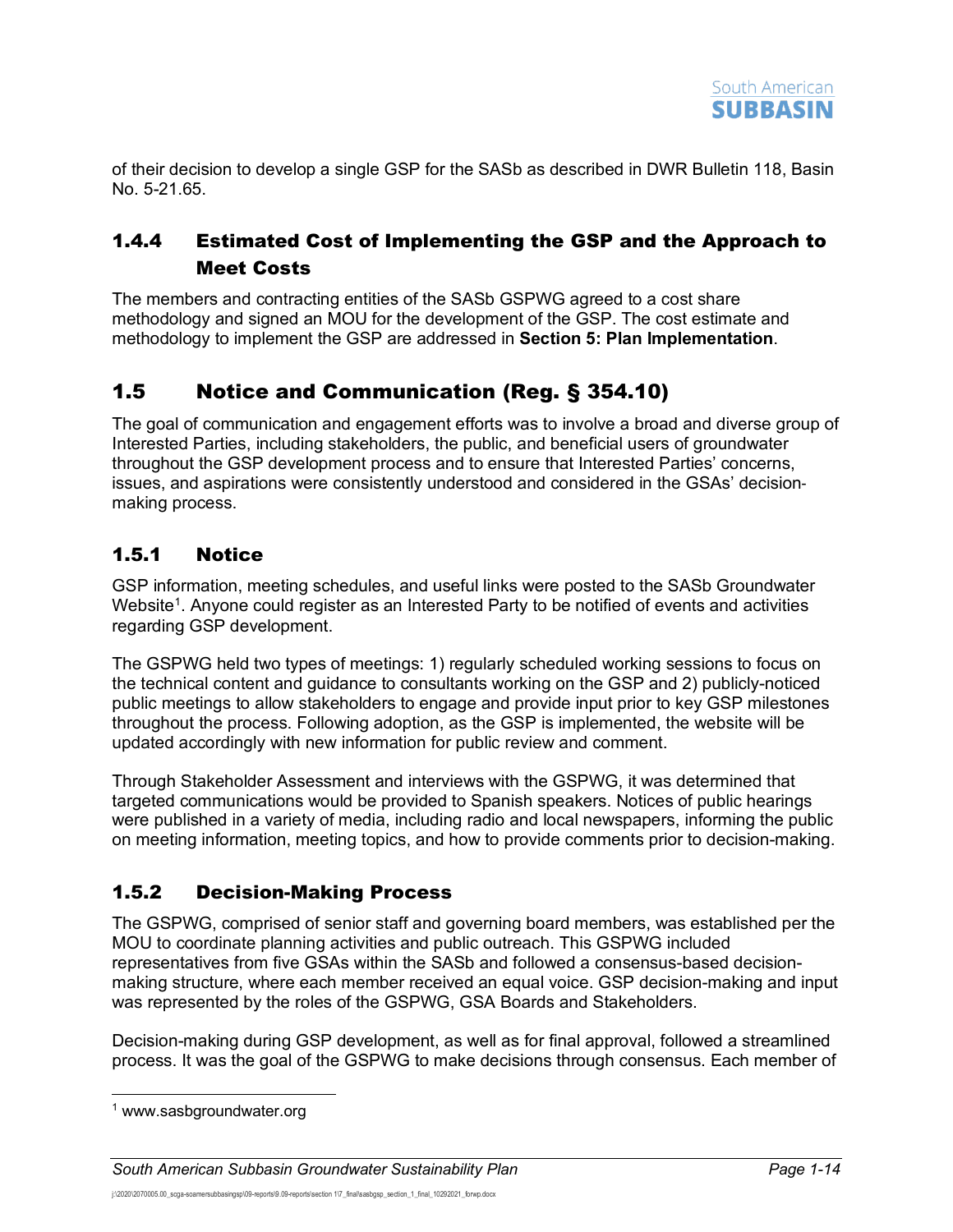of their decision to develop a single GSP for the SASb as described in DWR Bulletin 118, Basin No. 5-21.65.

## <span id="page-15-0"></span>1.4.4 Estimated Cost of Implementing the GSP and the Approach to Meet Costs

The members and contracting entities of the SASb GSPWG agreed to a cost share methodology and signed an MOU for the development of the GSP. The cost estimate and methodology to implement the GSP are addressed in **Section 5: Plan Implementation**.

# <span id="page-15-1"></span>1.5 Notice and Communication (Reg. § 354.10)

The goal of communication and engagement efforts was to involve a broad and diverse group of Interested Parties, including stakeholders, the public, and beneficial users of groundwater throughout the GSP development process and to ensure that Interested Parties' concerns, issues, and aspirations were consistently understood and considered in the GSAs' decision‐ making process.

## <span id="page-15-2"></span>1.5.1 Notice

GSP information, meeting schedules, and useful links were posted to the SASb Groundwater Website<sup>[1](#page-15-4)</sup>. Anyone could register as an Interested Party to be notified of events and activities regarding GSP development.

The GSPWG held two types of meetings: 1) regularly scheduled working sessions to focus on the technical content and guidance to consultants working on the GSP and 2) publicly-noticed public meetings to allow stakeholders to engage and provide input prior to key GSP milestones throughout the process. Following adoption, as the GSP is implemented, the website will be updated accordingly with new information for public review and comment.

Through Stakeholder Assessment and interviews with the GSPWG, it was determined that targeted communications would be provided to Spanish speakers. Notices of public hearings were published in a variety of media, including radio and local newspapers, informing the public on meeting information, meeting topics, and how to provide comments prior to decision-making.

## <span id="page-15-3"></span>1.5.2 Decision-Making Process

The GSPWG, comprised of senior staff and governing board members, was established per the MOU to coordinate planning activities and public outreach. This GSPWG included representatives from five GSAs within the SASb and followed a consensus-based decisionmaking structure, where each member received an equal voice. GSP decision-making and input was represented by the roles of the GSPWG, GSA Boards and Stakeholders.

Decision-making during GSP development, as well as for final approval, followed a streamlined process. It was the goal of the GSPWG to make decisions through consensus. Each member of

<span id="page-15-4"></span><sup>1</sup> www.sasbgroundwater.org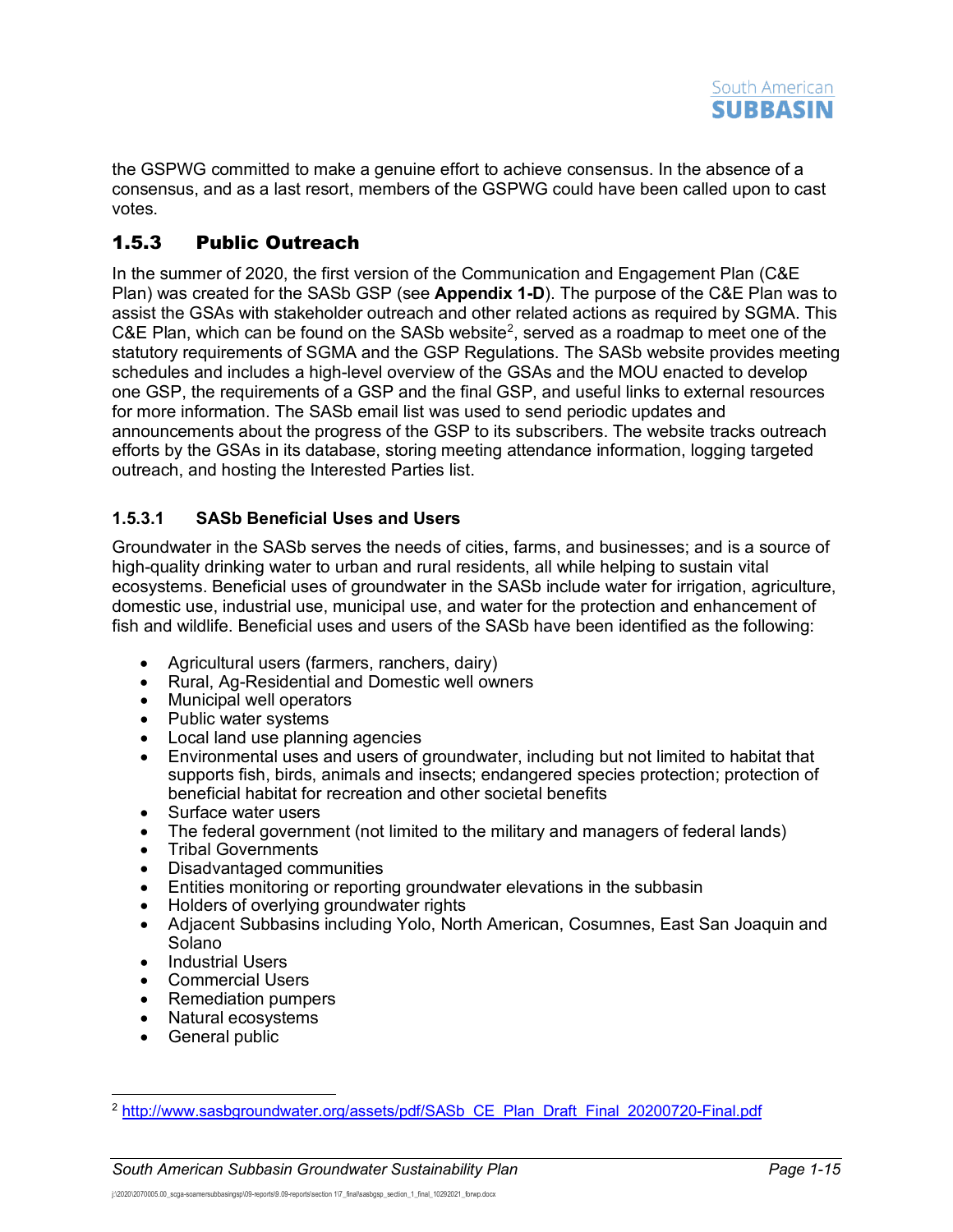

the GSPWG committed to make a genuine effort to achieve consensus. In the absence of a consensus, and as a last resort, members of the GSPWG could have been called upon to cast votes.

### <span id="page-16-0"></span>1.5.3 Public Outreach

In the summer of 2020, the first version of the Communication and Engagement Plan (C&E Plan) was created for the SASb GSP (see **Appendix 1-D**). The purpose of the C&E Plan was to assist the GSAs with stakeholder outreach and other related actions as required by SGMA. This C&E Plan, which can be found on the SASb website<sup>[2](#page-16-1)</sup>, served as a roadmap to meet one of the statutory requirements of SGMA and the GSP Regulations. The SASb website provides meeting schedules and includes a high-level overview of the GSAs and the MOU enacted to develop one GSP, the requirements of a GSP and the final GSP, and useful links to external resources for more information. The SASb email list was used to send periodic updates and announcements about the progress of the GSP to its subscribers. The website tracks outreach efforts by the GSAs in its database, storing meeting attendance information, logging targeted outreach, and hosting the Interested Parties list.

### **1.5.3.1 SASb Beneficial Uses and Users**

Groundwater in the SASb serves the needs of cities, farms, and businesses; and is a source of high-quality drinking water to urban and rural residents, all while helping to sustain vital ecosystems. Beneficial uses of groundwater in the SASb include water for irrigation, agriculture, domestic use, industrial use, municipal use, and water for the protection and enhancement of fish and wildlife. Beneficial uses and users of the SASb have been identified as the following:

- Agricultural users (farmers, ranchers, dairy)
- Rural, Ag-Residential and Domestic well owners
- Municipal well operators
- Public water systems
- Local land use planning agencies
- Environmental uses and users of groundwater, including but not limited to habitat that supports fish, birds, animals and insects; endangered species protection; protection of beneficial habitat for recreation and other societal benefits
- Surface water users
- The federal government (not limited to the military and managers of federal lands)
- Tribal Governments
- Disadvantaged communities
- Entities monitoring or reporting groundwater elevations in the subbasin
- Holders of overlying groundwater rights
- Adjacent Subbasins including Yolo, North American, Cosumnes, East San Joaquin and Solano
- Industrial Users
- Commercial Users
- Remediation pumpers
- Natural ecosystems
- General public

<span id="page-16-1"></span><sup>&</sup>lt;sup>2</sup> [http://www.sasbgroundwater.org/assets/pdf/SASb\\_CE\\_Plan\\_Draft\\_Final\\_20200720-Final.pdf](http://www.sasbgroundwater.org/assets/pdf/SASb_CE_Plan_Draft_Final_20200720-Final.pdf)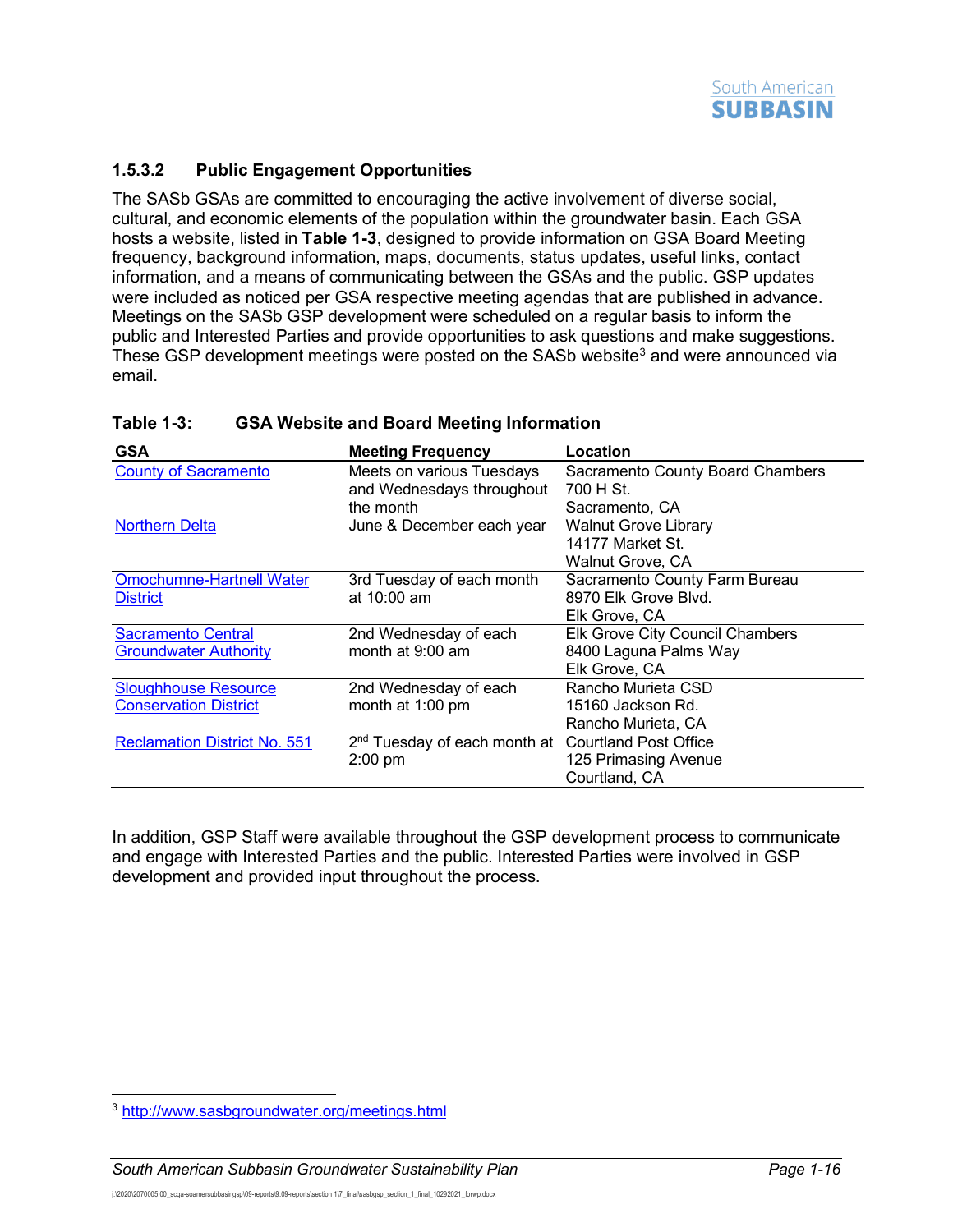

### **1.5.3.2 Public Engagement Opportunities**

The SASb GSAs are committed to encouraging the active involvement of diverse social, cultural, and economic elements of the population within the groundwater basin. Each GSA hosts a website, listed in **[Table](#page-17-0) 1-3**, designed to provide information on GSA Board Meeting frequency, background information, maps, documents, status updates, useful links, contact information, and a means of communicating between the GSAs and the public. GSP updates were included as noticed per GSA respective meeting agendas that are published in advance. Meetings on the SASb GSP development were scheduled on a regular basis to inform the public and Interested Parties and provide opportunities to ask questions and make suggestions. These GSP development meetings were posted on the SASb website<sup>[3](#page-17-1)</sup> and were announced via email.

| <b>GSA</b>                          | <b>Meeting Frequency</b>                                       | Location                                |
|-------------------------------------|----------------------------------------------------------------|-----------------------------------------|
| <b>County of Sacramento</b>         | Meets on various Tuesdays                                      | <b>Sacramento County Board Chambers</b> |
|                                     | and Wednesdays throughout                                      | 700 H St.                               |
|                                     | the month                                                      | Sacramento, CA                          |
| <b>Northern Delta</b>               | June & December each year                                      | <b>Walnut Grove Library</b>             |
|                                     |                                                                | 14177 Market St.                        |
|                                     |                                                                | Walnut Grove, CA                        |
| <b>Omochumne-Hartnell Water</b>     | 3rd Tuesday of each month                                      | Sacramento County Farm Bureau           |
| <b>District</b>                     | at 10:00 am                                                    | 8970 Elk Grove Blvd.                    |
|                                     |                                                                | Elk Grove, CA                           |
| <b>Sacramento Central</b>           | 2nd Wednesday of each                                          | Elk Grove City Council Chambers         |
| <b>Groundwater Authority</b>        | month at 9:00 am                                               | 8400 Laguna Palms Way                   |
|                                     |                                                                | Elk Grove, CA                           |
| <b>Sloughhouse Resource</b>         | 2nd Wednesday of each                                          | Rancho Murieta CSD                      |
| <b>Conservation District</b>        | month at 1:00 pm                                               | 15160 Jackson Rd.                       |
|                                     |                                                                | Rancho Murieta, CA                      |
| <b>Reclamation District No. 551</b> | 2 <sup>nd</sup> Tuesday of each month at Courtland Post Office |                                         |
|                                     | $2:00$ pm                                                      | 125 Primasing Avenue                    |
|                                     |                                                                | Courtland, CA                           |

### <span id="page-17-0"></span>**Table 1-3: GSA Website and Board Meeting Information**

In addition, GSP Staff were available throughout the GSP development process to communicate and engage with Interested Parties and the public. Interested Parties were involved in GSP development and provided input throughout the process.

<span id="page-17-1"></span><sup>3</sup> <http://www.sasbgroundwater.org/meetings.html>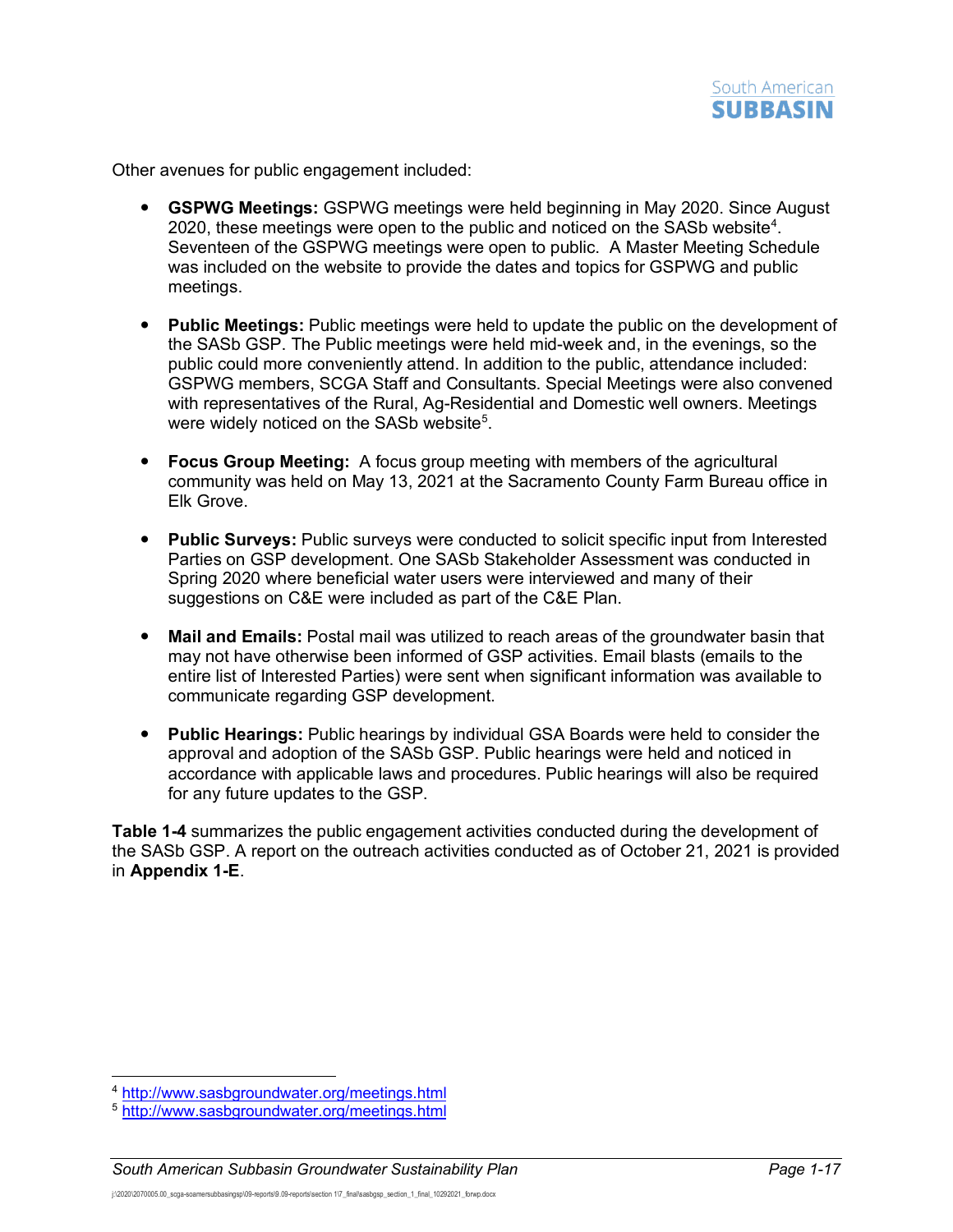

Other avenues for public engagement included:

- **GSPWG Meetings:** GSPWG meetings were held beginning in May 2020. Since August 2020, these meetings were open to the public and noticed on the SASb website<sup>[4](#page-18-0)</sup>. Seventeen of the GSPWG meetings were open to public. A Master Meeting Schedule was included on the website to provide the dates and topics for GSPWG and public meetings.
- **Public Meetings:** Public meetings were held to update the public on the development of the SASb GSP. The Public meetings were held mid-week and, in the evenings, so the public could more conveniently attend. In addition to the public, attendance included: GSPWG members, SCGA Staff and Consultants. Special Meetings were also convened with representatives of the Rural, Ag-Residential and Domestic well owners. Meetings were widely noticed on the SASb website $^5$  $^5$ .
- **Focus Group Meeting:** A focus group meeting with members of the agricultural community was held on May 13, 2021 at the Sacramento County Farm Bureau office in Elk Grove.
- **Public Surveys:** Public surveys were conducted to solicit specific input from Interested Parties on GSP development. One SASb Stakeholder Assessment was conducted in Spring 2020 where beneficial water users were interviewed and many of their suggestions on C&E were included as part of the C&E Plan.
- **Mail and Emails:** Postal mail was utilized to reach areas of the groundwater basin that may not have otherwise been informed of GSP activities. Email blasts (emails to the entire list of Interested Parties) were sent when significant information was available to communicate regarding GSP development.
- **Public Hearings:** Public hearings by individual GSA Boards were held to consider the approval and adoption of the SASb GSP. Public hearings were held and noticed in accordance with applicable laws and procedures. Public hearings will also be required for any future updates to the GSP.

**[Table](#page-19-0) 1-4** summarizes the public engagement activities conducted during the development of the SASb GSP. A report on the outreach activities conducted as of October 21, 2021 is provided in **Appendix 1-E**.

<span id="page-18-0"></span><sup>4</sup> <http://www.sasbgroundwater.org/meetings.html>

<span id="page-18-1"></span><sup>5</sup> <http://www.sasbgroundwater.org/meetings.html>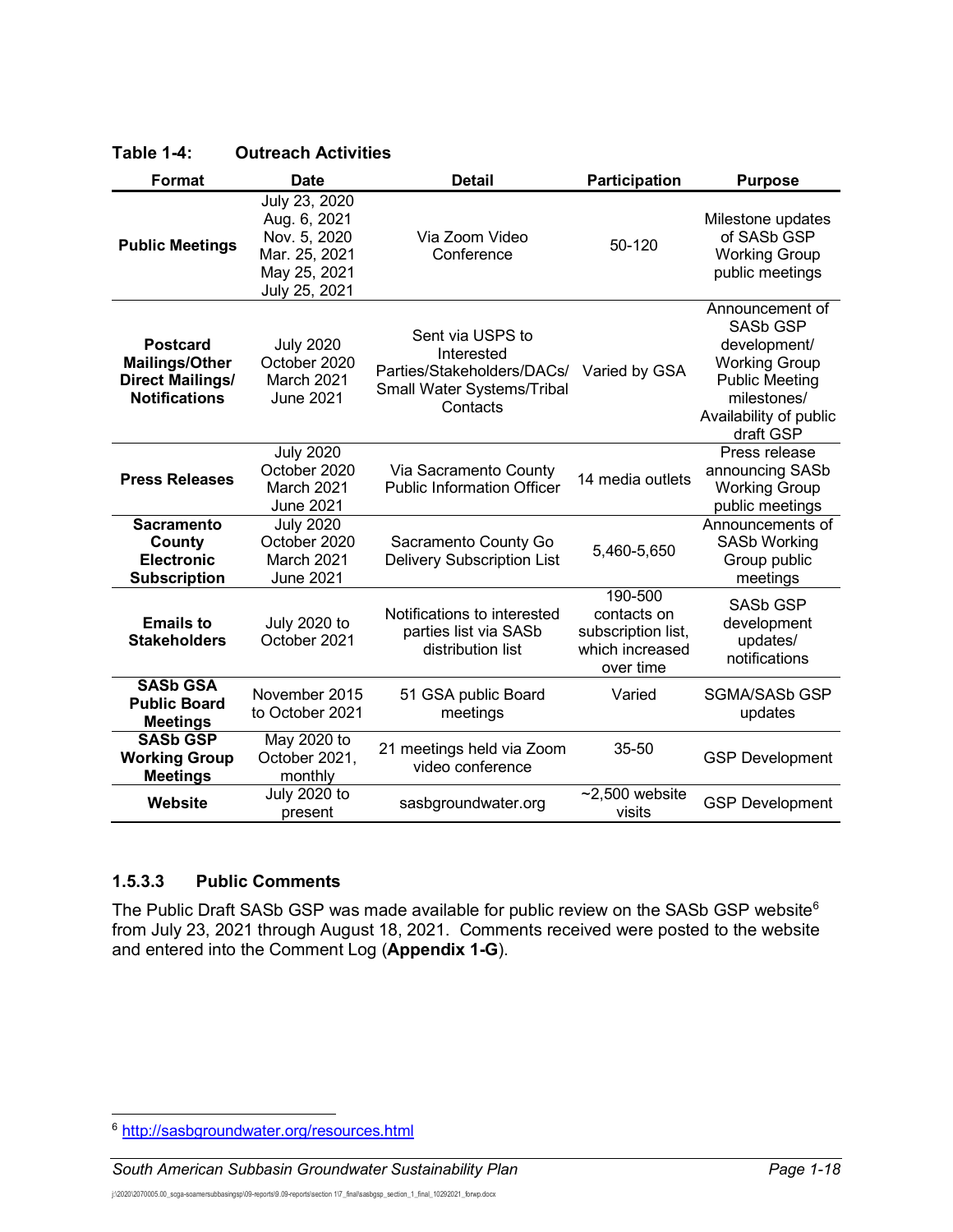| <b>Format</b>                                                                               | <b>Date</b>                                                                                     | <b>Detail</b>                                                                                          | <b>Participation</b>                                                         | <b>Purpose</b>                                                                                                                                            |
|---------------------------------------------------------------------------------------------|-------------------------------------------------------------------------------------------------|--------------------------------------------------------------------------------------------------------|------------------------------------------------------------------------------|-----------------------------------------------------------------------------------------------------------------------------------------------------------|
| <b>Public Meetings</b>                                                                      | July 23, 2020<br>Aug. 6, 2021<br>Nov. 5, 2020<br>Mar. 25, 2021<br>May 25, 2021<br>July 25, 2021 | Via Zoom Video<br>Conference                                                                           | 50-120                                                                       | Milestone updates<br>of SASb GSP<br><b>Working Group</b><br>public meetings                                                                               |
| <b>Postcard</b><br><b>Mailings/Other</b><br><b>Direct Mailings/</b><br><b>Notifications</b> | <b>July 2020</b><br>October 2020<br>March 2021<br>June 2021                                     | Sent via USPS to<br>Interested<br>Parties/Stakeholders/DACs/<br>Small Water Systems/Tribal<br>Contacts | Varied by GSA                                                                | Announcement of<br><b>SASb GSP</b><br>development/<br><b>Working Group</b><br><b>Public Meeting</b><br>milestones/<br>Availability of public<br>draft GSP |
| <b>Press Releases</b>                                                                       | <b>July 2020</b><br>October 2020<br>March 2021<br><b>June 2021</b>                              | Via Sacramento County<br><b>Public Information Officer</b>                                             | 14 media outlets                                                             | Press release<br>announcing SASb<br><b>Working Group</b><br>public meetings                                                                               |
| <b>Sacramento</b><br>County<br><b>Electronic</b><br><b>Subscription</b>                     | <b>July 2020</b><br>October 2020<br>March 2021<br><b>June 2021</b>                              | Sacramento County Go<br><b>Delivery Subscription List</b>                                              | 5,460-5,650                                                                  | Announcements of<br><b>SASb Working</b><br>Group public<br>meetings                                                                                       |
| <b>Emails to</b><br><b>Stakeholders</b>                                                     | <b>July 2020 to</b><br>October 2021                                                             | Notifications to interested<br>parties list via SASb<br>distribution list                              | 190-500<br>contacts on<br>subscription list,<br>which increased<br>over time | <b>SASb GSP</b><br>development<br>updates/<br>notifications                                                                                               |
| <b>SASb GSA</b><br><b>Public Board</b><br><b>Meetings</b>                                   | November 2015<br>to October 2021                                                                | 51 GSA public Board<br>meetings                                                                        | Varied                                                                       | <b>SGMA/SASb GSP</b><br>updates                                                                                                                           |
| <b>SASb GSP</b><br><b>Working Group</b><br><b>Meetings</b>                                  | May 2020 to<br>October 2021.<br>monthly                                                         | 21 meetings held via Zoom<br>video conference                                                          | 35-50                                                                        | <b>GSP Development</b>                                                                                                                                    |
| Website                                                                                     | <b>July 2020 to</b><br>present                                                                  | sasbgroundwater.org                                                                                    | $~2,500$ website<br>visits                                                   | <b>GSP Development</b>                                                                                                                                    |

#### <span id="page-19-0"></span>**Table 1-4: Outreach Activities**

#### **1.5.3.3 Public Comments**

The Public Draft SASb GSP was made available for public review on the SASb GSP website<sup>6</sup> from July 23, 2021 through August 18, 2021. Comments received were posted to the website and entered into the Comment Log (**Appendix 1-G**).

<span id="page-19-1"></span><sup>6</sup> <http://sasbgroundwater.org/resources.html>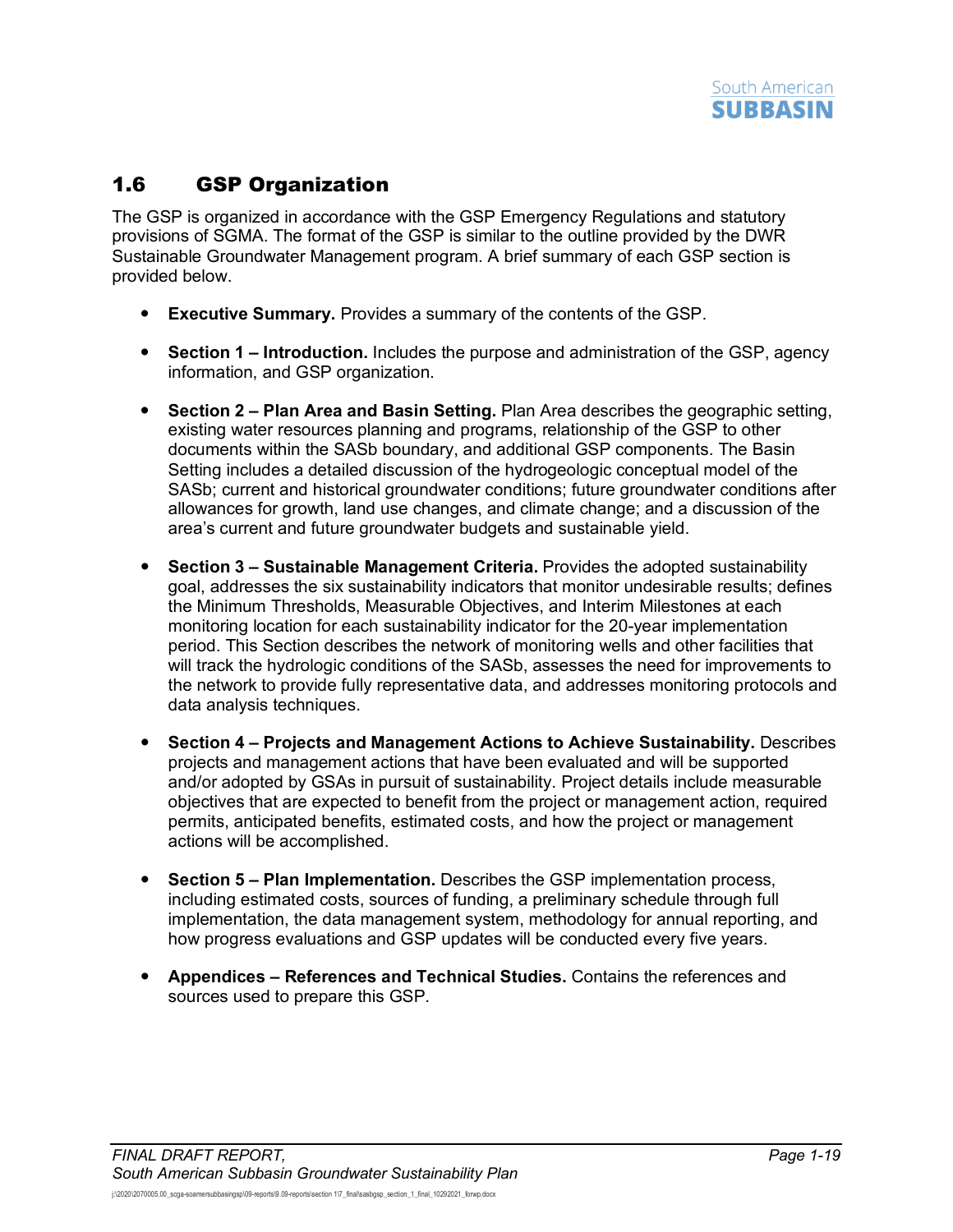## <span id="page-20-0"></span>1.6 GSP Organization

The GSP is organized in accordance with the GSP Emergency Regulations and statutory provisions of SGMA. The format of the GSP is similar to the outline provided by the DWR Sustainable Groundwater Management program. A brief summary of each GSP section is provided below.

- **Executive Summary.** Provides a summary of the contents of the GSP.
- **Section 1 – Introduction.** Includes the purpose and administration of the GSP, agency information, and GSP organization.
- **Section 2 – Plan Area and Basin Setting.** Plan Area describes the geographic setting, existing water resources planning and programs, relationship of the GSP to other documents within the SASb boundary, and additional GSP components. The Basin Setting includes a detailed discussion of the hydrogeologic conceptual model of the SASb; current and historical groundwater conditions; future groundwater conditions after allowances for growth, land use changes, and climate change; and a discussion of the area's current and future groundwater budgets and sustainable yield.
- **Section 3 – Sustainable Management Criteria.** Provides the adopted sustainability goal, addresses the six sustainability indicators that monitor undesirable results; defines the Minimum Thresholds, Measurable Objectives, and Interim Milestones at each monitoring location for each sustainability indicator for the 20-year implementation period. This Section describes the network of monitoring wells and other facilities that will track the hydrologic conditions of the SASb, assesses the need for improvements to the network to provide fully representative data, and addresses monitoring protocols and data analysis techniques.
- **Section 4 – Projects and Management Actions to Achieve Sustainability.** Describes projects and management actions that have been evaluated and will be supported and/or adopted by GSAs in pursuit of sustainability. Project details include measurable objectives that are expected to benefit from the project or management action, required permits, anticipated benefits, estimated costs, and how the project or management actions will be accomplished.
- **Section 5 – Plan Implementation.** Describes the GSP implementation process, including estimated costs, sources of funding, a preliminary schedule through full implementation, the data management system, methodology for annual reporting, and how progress evaluations and GSP updates will be conducted every five years.
- **Appendices – References and Technical Studies.** Contains the references and sources used to prepare this GSP.